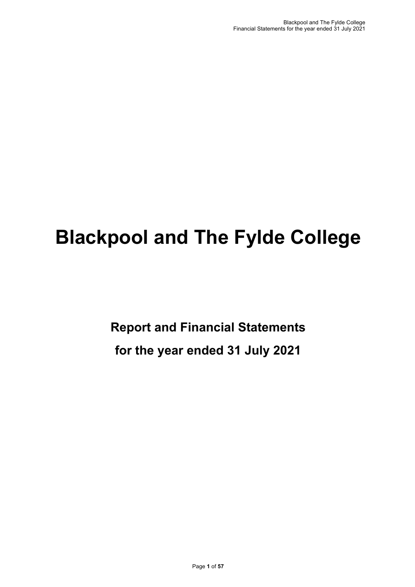# **Blackpool and The Fylde College**

**Report and Financial Statements for the year ended 31 July 2021**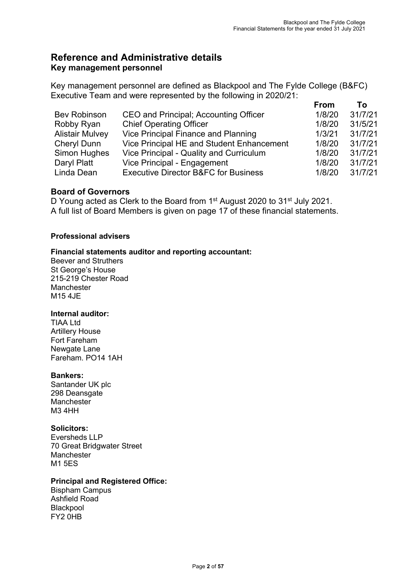## **Reference and Administrative details Key management personnel**

Key management personnel are defined as Blackpool and The Fylde College (B&FC) Executive Team and were represented by the following in 2020/21:

|                        |                                                 | <b>From</b> | Τo      |
|------------------------|-------------------------------------------------|-------------|---------|
| <b>Bev Robinson</b>    | CEO and Principal; Accounting Officer           | 1/8/20      | 31/7/21 |
| Robby Ryan             | <b>Chief Operating Officer</b>                  | 1/8/20      | 31/5/21 |
| <b>Alistair Mulvey</b> | Vice Principal Finance and Planning             | 1/3/21      | 31/7/21 |
| <b>Cheryl Dunn</b>     | Vice Principal HE and Student Enhancement       | 1/8/20      | 31/7/21 |
| Simon Hughes           | Vice Principal - Quality and Curriculum         | 1/8/20      | 31/7/21 |
| Daryl Platt            | Vice Principal - Engagement                     | 1/8/20      | 31/7/21 |
| Linda Dean             | <b>Executive Director B&amp;FC for Business</b> | 1/8/20      | 31/7/21 |

## **Board of Governors**

D Young acted as Clerk to the Board from 1<sup>st</sup> August 2020 to 31<sup>st</sup> July 2021. A full list of Board Members is given on page 17 of these financial statements.

## **Professional advisers**

## **Financial statements auditor and reporting accountant:**

Beever and Struthers St George's House 215-219 Chester Road Manchester M15 4JE

#### **Internal auditor:**

TIAA Ltd Artillery House Fort Fareham Newgate Lane Fareham. PO14 1AH

#### **Bankers:**

Santander UK plc 298 Deansgate **Manchester** M3 4HH

#### **Solicitors:**

Eversheds LLP 70 Great Bridgwater Street Manchester M1 5ES

#### **Principal and Registered Office:**

Bispham Campus Ashfield Road **Blackpool** FY2 0HB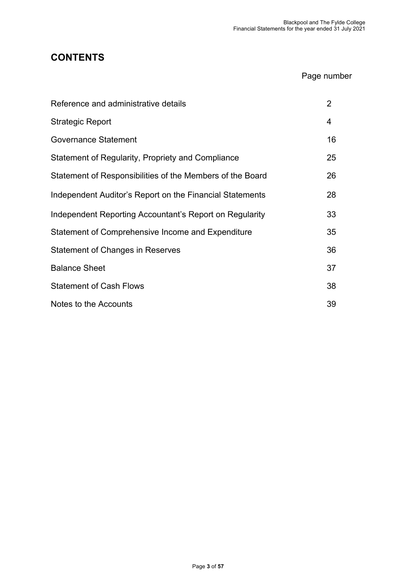## **CONTENTS**

## Page number

| Reference and administrative details                      | $\overline{2}$ |
|-----------------------------------------------------------|----------------|
| <b>Strategic Report</b>                                   | 4              |
| <b>Governance Statement</b>                               | 16             |
| Statement of Regularity, Propriety and Compliance         | 25             |
| Statement of Responsibilities of the Members of the Board | 26             |
| Independent Auditor's Report on the Financial Statements  | 28             |
| Independent Reporting Accountant's Report on Regularity   | 33             |
| Statement of Comprehensive Income and Expenditure         | 35             |
| Statement of Changes in Reserves                          | 36             |
| <b>Balance Sheet</b>                                      | 37             |
| <b>Statement of Cash Flows</b>                            | 38             |
| Notes to the Accounts                                     | 39             |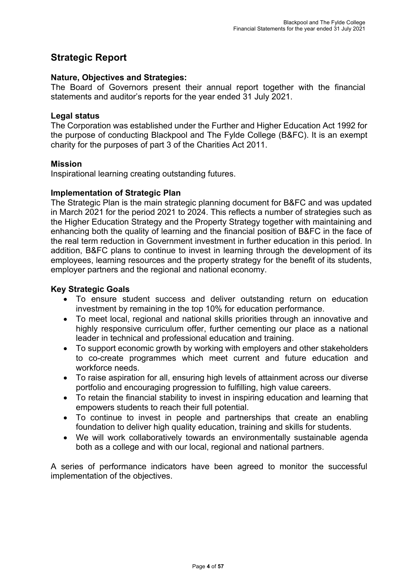## **Strategic Report**

## **Nature, Objectives and Strategies:**

The Board of Governors present their annual report together with the financial statements and auditor's reports for the year ended 31 July 2021.

## **Legal status**

The Corporation was established under the Further and Higher Education Act 1992 for the purpose of conducting Blackpool and The Fylde College (B&FC). It is an exempt charity for the purposes of part 3 of the Charities Act 2011.

## **Mission**

Inspirational learning creating outstanding futures.

## **Implementation of Strategic Plan**

The Strategic Plan is the main strategic planning document for B&FC and was updated in March 2021 for the period 2021 to 2024. This reflects a number of strategies such as the Higher Education Strategy and the Property Strategy together with maintaining and enhancing both the quality of learning and the financial position of B&FC in the face of the real term reduction in Government investment in further education in this period. In addition, B&FC plans to continue to invest in learning through the development of its employees, learning resources and the property strategy for the benefit of its students, employer partners and the regional and national economy.

## **Key Strategic Goals**

- To ensure student success and deliver outstanding return on education investment by remaining in the top 10% for education performance.
- To meet local, regional and national skills priorities through an innovative and highly responsive curriculum offer, further cementing our place as a national leader in technical and professional education and training.
- To support economic growth by working with employers and other stakeholders to co-create programmes which meet current and future education and workforce needs.
- To raise aspiration for all, ensuring high levels of attainment across our diverse portfolio and encouraging progression to fulfilling, high value careers.
- To retain the financial stability to invest in inspiring education and learning that empowers students to reach their full potential.
- To continue to invest in people and partnerships that create an enabling foundation to deliver high quality education, training and skills for students.
- We will work collaboratively towards an environmentally sustainable agenda both as a college and with our local, regional and national partners.

A series of performance indicators have been agreed to monitor the successful implementation of the objectives.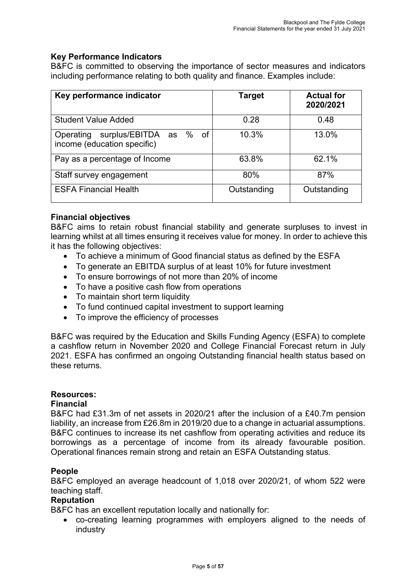## **Key Performance Indicators**

B&FC is committed to observing the importance of sector measures and indicators including performance relating to both quality and finance. Examples include:

| Key performance indicator                                       | <b>Target</b> | <b>Actual for</b><br>2020/2021 |
|-----------------------------------------------------------------|---------------|--------------------------------|
| <b>Student Value Added</b>                                      | 0.28          | 0.48                           |
| Operating surplus/EBITDA as % of<br>income (education specific) | 10.3%         | 13.0%                          |
| Pay as a percentage of Income                                   | 63.8%         | 62.1%                          |
| Staff survey engagement                                         | 80%           | 87%                            |
| <b>ESFA Financial Health</b>                                    | Outstanding   | Outstanding                    |

## **Financial objectives**

B&FC aims to retain robust financial stability and generate surpluses to invest in learning whilst at all times ensuring it receives value for money. In order to achieve this it has the following objectives:

- To achieve a minimum of Good financial status as defined by the ESFA
- To generate an EBITDA surplus of at least 10% for future investment
- To ensure borrowings of not more than 20% of income
- To have a positive cash flow from operations
- To maintain short term liquidity
- To fund continued capital investment to support learning
- To improve the efficiency of processes

B&FC was required by the Education and Skills Funding Agency (ESFA) to complete a cashflow return in November 2020 and College Financial Forecast return in July 2021. ESFA has confirmed an ongoing Outstanding financial health status based on these returns.

#### **Resources:**

#### **Financial**

B&FC had £31.3m of net assets in 2020/21 after the inclusion of a £40.7m pension liability, an increase from £26.8m in 2019/20 due to a change in actuarial assumptions. B&FC continues to increase its net cashflow from operating activities and reduce its borrowings as a percentage of income from its already favourable position. Operational finances remain strong and retain an ESFA Outstanding status.

#### **People**

B&FC employed an average headcount of 1,018 over 2020/21, of whom 522 were teaching staff.

## **Reputation**

B&FC has an excellent reputation locally and nationally for:

• co-creating learning programmes with employers aligned to the needs of industry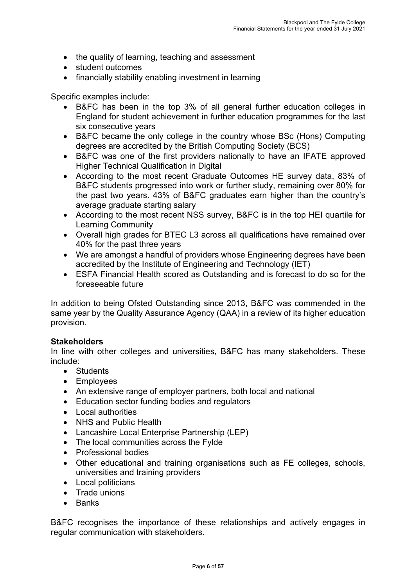- the quality of learning, teaching and assessment
- student outcomes
- financially stability enabling investment in learning

Specific examples include:

- B&FC has been in the top 3% of all general further education colleges in England for student achievement in further education programmes for the last six consecutive years
- B&FC became the only college in the country whose BSc (Hons) Computing degrees are accredited by the British Computing Society (BCS)
- B&FC was one of the first providers nationally to have an IFATE approved Higher Technical Qualification in Digital
- According to the most recent Graduate Outcomes HE survey data, 83% of B&FC students progressed into work or further study, remaining over 80% for the past two years. 43% of B&FC graduates earn higher than the country's average graduate starting salary
- According to the most recent NSS survey, B&FC is in the top HEI quartile for Learning Community
- Overall high grades for BTEC L3 across all qualifications have remained over 40% for the past three years
- We are amongst a handful of providers whose Engineering degrees have been accredited by the Institute of Engineering and Technology (IET)
- ESFA Financial Health scored as Outstanding and is forecast to do so for the foreseeable future

In addition to being Ofsted Outstanding since 2013, B&FC was commended in the same year by the Quality Assurance Agency (QAA) in a review of its higher education provision.

## **Stakeholders**

In line with other colleges and universities, B&FC has many stakeholders. These include:

- Students
- Employees
- An extensive range of employer partners, both local and national
- Education sector funding bodies and regulators
- Local authorities
- NHS and Public Health
- Lancashire Local Enterprise Partnership (LEP)
- The local communities across the Fylde
- Professional bodies
- Other educational and training organisations such as FE colleges, schools, universities and training providers
- Local politicians
- Trade unions
- Banks

B&FC recognises the importance of these relationships and actively engages in regular communication with stakeholders.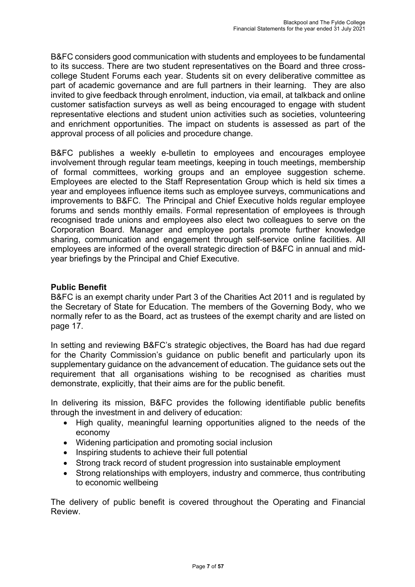B&FC considers good communication with students and employees to be fundamental to its success. There are two student representatives on the Board and three crosscollege Student Forums each year. Students sit on every deliberative committee as part of academic governance and are full partners in their learning. They are also invited to give feedback through enrolment, induction, via email, at talkback and online customer satisfaction surveys as well as being encouraged to engage with student representative elections and student union activities such as societies, volunteering and enrichment opportunities. The impact on students is assessed as part of the approval process of all policies and procedure change.

B&FC publishes a weekly e-bulletin to employees and encourages employee involvement through regular team meetings, keeping in touch meetings, membership of formal committees, working groups and an employee suggestion scheme. Employees are elected to the Staff Representation Group which is held six times a year and employees influence items such as employee surveys, communications and improvements to B&FC. The Principal and Chief Executive holds regular employee forums and sends monthly emails. Formal representation of employees is through recognised trade unions and employees also elect two colleagues to serve on the Corporation Board. Manager and employee portals promote further knowledge sharing, communication and engagement through self-service online facilities. All employees are informed of the overall strategic direction of B&FC in annual and midyear briefings by the Principal and Chief Executive.

## **Public Benefit**

B&FC is an exempt charity under Part 3 of the Charities Act 2011 and is regulated by the Secretary of State for Education. The members of the Governing Body, who we normally refer to as the Board, act as trustees of the exempt charity and are listed on page 17.

In setting and reviewing B&FC's strategic objectives, the Board has had due regard for the Charity Commission's guidance on public benefit and particularly upon its supplementary guidance on the advancement of education. The guidance sets out the requirement that all organisations wishing to be recognised as charities must demonstrate, explicitly, that their aims are for the public benefit.

In delivering its mission, B&FC provides the following identifiable public benefits through the investment in and delivery of education:

- High quality, meaningful learning opportunities aligned to the needs of the economy
- Widening participation and promoting social inclusion
- Inspiring students to achieve their full potential
- Strong track record of student progression into sustainable employment
- Strong relationships with employers, industry and commerce, thus contributing to economic wellbeing

The delivery of public benefit is covered throughout the Operating and Financial Review.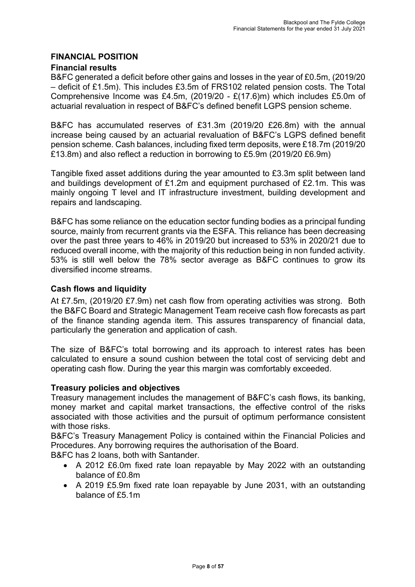## **FINANCIAL POSITION**

## **Financial results**

B&FC generated a deficit before other gains and losses in the year of £0.5m, (2019/20 – deficit of £1.5m). This includes £3.5m of FRS102 related pension costs. The Total Comprehensive Income was £4.5m, (2019/20 - £(17.6)m) which includes £5.0m of actuarial revaluation in respect of B&FC's defined benefit LGPS pension scheme.

B&FC has accumulated reserves of £31.3m (2019/20 £26.8m) with the annual increase being caused by an actuarial revaluation of B&FC's LGPS defined benefit pension scheme. Cash balances, including fixed term deposits, were £18.7m (2019/20 £13.8m) and also reflect a reduction in borrowing to £5.9m (2019/20 £6.9m)

Tangible fixed asset additions during the year amounted to £3.3m split between land and buildings development of £1.2m and equipment purchased of £2.1m. This was mainly ongoing T level and IT infrastructure investment, building development and repairs and landscaping.

B&FC has some reliance on the education sector funding bodies as a principal funding source, mainly from recurrent grants via the ESFA. This reliance has been decreasing over the past three years to 46% in 2019/20 but increased to 53% in 2020/21 due to reduced overall income, with the majority of this reduction being in non funded activity. 53% is still well below the 78% sector average as B&FC continues to grow its diversified income streams.

## **Cash flows and liquidity**

At £7.5m, (2019/20 £7.9m) net cash flow from operating activities was strong. Both the B&FC Board and Strategic Management Team receive cash flow forecasts as part of the finance standing agenda item. This assures transparency of financial data, particularly the generation and application of cash.

The size of B&FC's total borrowing and its approach to interest rates has been calculated to ensure a sound cushion between the total cost of servicing debt and operating cash flow. During the year this margin was comfortably exceeded.

## **Treasury policies and objectives**

Treasury management includes the management of B&FC's cash flows, its banking, money market and capital market transactions, the effective control of the risks associated with those activities and the pursuit of optimum performance consistent with those risks.

B&FC's Treasury Management Policy is contained within the Financial Policies and Procedures. Any borrowing requires the authorisation of the Board.

B&FC has 2 loans, both with Santander.

- A 2012 £6.0m fixed rate loan repayable by May 2022 with an outstanding balance of £0.8m
- A 2019 £5.9m fixed rate loan repayable by June 2031, with an outstanding balance of £5.1m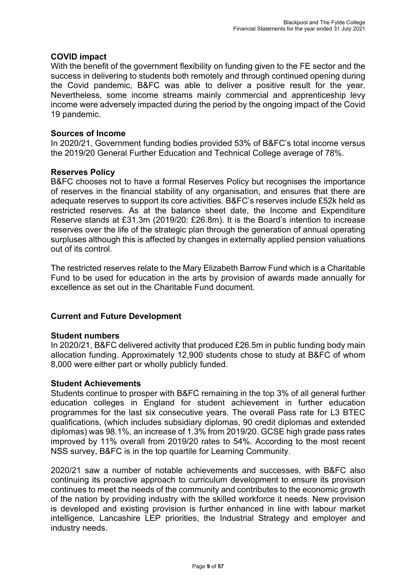## **COVID impact**

With the benefit of the government flexibility on funding given to the FE sector and the success in delivering to students both remotely and through continued opening during the Covid pandemic, B&FC was able to deliver a positive result for the year. Nevertheless, some income streams mainly commercial and apprenticeship levy income were adversely impacted during the period by the ongoing impact of the Covid 19 pandemic.

#### **Sources of Income**

In 2020/21, Government funding bodies provided 53% of B&FC's total income versus the 2019/20 General Further Education and Technical College average of 78%.

#### **Reserves Policy**

B&FC chooses not to have a formal Reserves Policy but recognises the importance of reserves in the financial stability of any organisation, and ensures that there are adequate reserves to support its core activities. B&FC's reserves include £52k held as restricted reserves. As at the balance sheet date, the Income and Expenditure Reserve stands at £31.3m (2019/20: £26.8m). It is the Board's intention to increase reserves over the life of the strategic plan through the generation of annual operating surpluses although this is affected by changes in externally applied pension valuations out of its control.

The restricted reserves relate to the Mary Elizabeth Barrow Fund which is a Charitable Fund to be used for education in the arts by provision of awards made annually for excellence as set out in the Charitable Fund document.

## **Current and Future Development**

#### **Student numbers**

In 2020/21, B&FC delivered activity that produced £26.5m in public funding body main allocation funding. Approximately 12,900 students chose to study at B&FC of whom 8,000 were either part or wholly publicly funded.

#### **Student Achievements**

Students continue to prosper with B&FC remaining in the top 3% of all general further education colleges in England for student achievement in further education programmes for the last six consecutive years. The overall Pass rate for L3 BTEC qualifications, (which includes subsidiary diplomas, 90 credit diplomas and extended diplomas) was 98.1%, an increase of 1.3% from 2019/20. GCSE high grade pass rates improved by 11% overall from 2019/20 rates to 54%. According to the most recent NSS survey, B&FC is in the top quartile for Learning Community.

2020/21 saw a number of notable achievements and successes, with B&FC also continuing its proactive approach to curriculum development to ensure its provision continues to meet the needs of the community and contributes to the economic growth of the nation by providing industry with the skilled workforce it needs. New provision is developed and existing provision is further enhanced in line with labour market intelligence, Lancashire LEP priorities, the Industrial Strategy and employer and industry needs.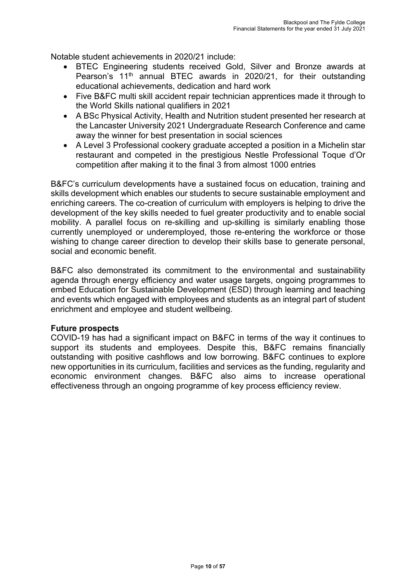Notable student achievements in 2020/21 include:

- BTEC Engineering students received Gold, Silver and Bronze awards at Pearson's 11<sup>th</sup> annual BTEC awards in 2020/21, for their outstanding educational achievements, dedication and hard work
- Five B&FC multi skill accident repair technician apprentices made it through to the World Skills national qualifiers in 2021
- A BSc Physical Activity, Health and Nutrition student presented her research at the Lancaster University 2021 Undergraduate Research Conference and came away the winner for best presentation in social sciences
- A Level 3 Professional cookery graduate accepted a position in a Michelin star restaurant and competed in the prestigious Nestle Professional Toque d'Or competition after making it to the final 3 from almost 1000 entries

B&FC's curriculum developments have a sustained focus on education, training and skills development which enables our students to secure sustainable employment and enriching careers. The co-creation of curriculum with employers is helping to drive the development of the key skills needed to fuel greater productivity and to enable social mobility. A parallel focus on re-skilling and up-skilling is similarly enabling those currently unemployed or underemployed, those re-entering the workforce or those wishing to change career direction to develop their skills base to generate personal, social and economic benefit.

B&FC also demonstrated its commitment to the environmental and sustainability agenda through energy efficiency and water usage targets, ongoing programmes to embed Education for Sustainable Development (ESD) through learning and teaching and events which engaged with employees and students as an integral part of student enrichment and employee and student wellbeing.

## **Future prospects**

COVID-19 has had a significant impact on B&FC in terms of the way it continues to support its students and employees. Despite this, B&FC remains financially outstanding with positive cashflows and low borrowing. B&FC continues to explore new opportunities in its curriculum, facilities and services as the funding, regularity and economic environment changes. B&FC also aims to increase operational effectiveness through an ongoing programme of key process efficiency review.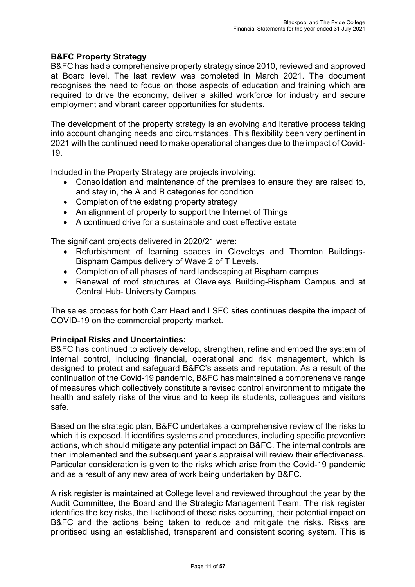## **B&FC Property Strategy**

B&FC has had a comprehensive property strategy since 2010, reviewed and approved at Board level. The last review was completed in March 2021. The document recognises the need to focus on those aspects of education and training which are required to drive the economy, deliver a skilled workforce for industry and secure employment and vibrant career opportunities for students.

The development of the property strategy is an evolving and iterative process taking into account changing needs and circumstances. This flexibility been very pertinent in 2021 with the continued need to make operational changes due to the impact of Covid-19.

Included in the Property Strategy are projects involving:

- Consolidation and maintenance of the premises to ensure they are raised to, and stay in, the A and B categories for condition
- Completion of the existing property strategy
- An alignment of property to support the Internet of Things
- A continued drive for a sustainable and cost effective estate

The significant projects delivered in 2020/21 were:

- Refurbishment of learning spaces in Cleveleys and Thornton Buildings-Bispham Campus delivery of Wave 2 of T Levels.
- Completion of all phases of hard landscaping at Bispham campus
- Renewal of roof structures at Cleveleys Building-Bispham Campus and at Central Hub- University Campus

The sales process for both Carr Head and LSFC sites continues despite the impact of COVID-19 on the commercial property market.

#### **Principal Risks and Uncertainties:**

B&FC has continued to actively develop, strengthen, refine and embed the system of internal control, including financial, operational and risk management, which is designed to protect and safeguard B&FC's assets and reputation. As a result of the continuation of the Covid-19 pandemic, B&FC has maintained a comprehensive range of measures which collectively constitute a revised control environment to mitigate the health and safety risks of the virus and to keep its students, colleagues and visitors safe.

Based on the strategic plan, B&FC undertakes a comprehensive review of the risks to which it is exposed. It identifies systems and procedures, including specific preventive actions, which should mitigate any potential impact on B&FC. The internal controls are then implemented and the subsequent year's appraisal will review their effectiveness. Particular consideration is given to the risks which arise from the Covid-19 pandemic and as a result of any new area of work being undertaken by B&FC.

A risk register is maintained at College level and reviewed throughout the year by the Audit Committee, the Board and the Strategic Management Team. The risk register identifies the key risks, the likelihood of those risks occurring, their potential impact on B&FC and the actions being taken to reduce and mitigate the risks. Risks are prioritised using an established, transparent and consistent scoring system. This is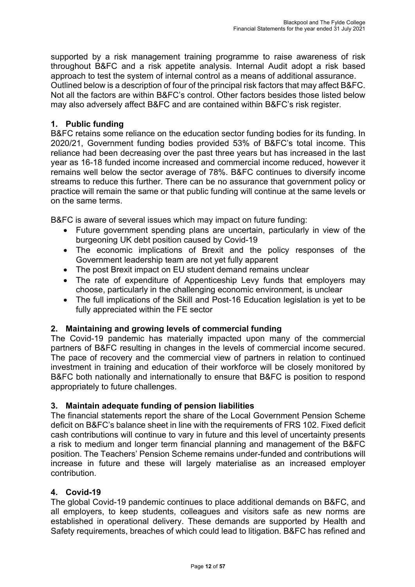supported by a risk management training programme to raise awareness of risk throughout B&FC and a risk appetite analysis. Internal Audit adopt a risk based approach to test the system of internal control as a means of additional assurance. Outlined below is a description of four of the principal risk factors that may affect B&FC. Not all the factors are within B&FC's control. Other factors besides those listed below may also adversely affect B&FC and are contained within B&FC's risk register.

## **1. Public funding**

B&FC retains some reliance on the education sector funding bodies for its funding. In 2020/21, Government funding bodies provided 53% of B&FC's total income. This reliance had been decreasing over the past three years but has increased in the last year as 16-18 funded income increased and commercial income reduced, however it remains well below the sector average of 78%. B&FC continues to diversify income streams to reduce this further. There can be no assurance that government policy or practice will remain the same or that public funding will continue at the same levels or on the same terms.

B&FC is aware of several issues which may impact on future funding:

- Future government spending plans are uncertain, particularly in view of the burgeoning UK debt position caused by Covid-19
- The economic implications of Brexit and the policy responses of the Government leadership team are not yet fully apparent
- The post Brexit impact on EU student demand remains unclear
- The rate of expenditure of Appenticeship Levy funds that employers may choose, particularly in the challenging economic environment, is unclear
- The full implications of the Skill and Post-16 Education legislation is yet to be fully appreciated within the FE sector

## **2. Maintaining and growing levels of commercial funding**

The Covid-19 pandemic has materially impacted upon many of the commercial partners of B&FC resulting in changes in the levels of commercial income secured. The pace of recovery and the commercial view of partners in relation to continued investment in training and education of their workforce will be closely monitored by B&FC both nationally and internationally to ensure that B&FC is position to respond appropriately to future challenges.

## **3. Maintain adequate funding of pension liabilities**

The financial statements report the share of the Local Government Pension Scheme deficit on B&FC's balance sheet in line with the requirements of FRS 102. Fixed deficit cash contributions will continue to vary in future and this level of uncertainty presents a risk to medium and longer term financial planning and management of the B&FC position. The Teachers' Pension Scheme remains under-funded and contributions will increase in future and these will largely materialise as an increased employer contribution.

## **4. Covid-19**

The global Covid-19 pandemic continues to place additional demands on B&FC, and all employers, to keep students, colleagues and visitors safe as new norms are established in operational delivery. These demands are supported by Health and Safety requirements, breaches of which could lead to litigation. B&FC has refined and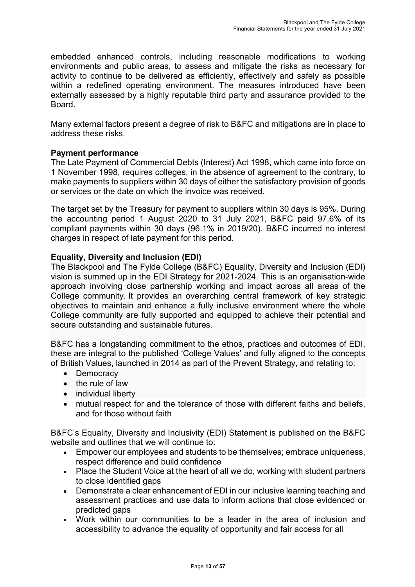embedded enhanced controls, including reasonable modifications to working environments and public areas, to assess and mitigate the risks as necessary for activity to continue to be delivered as efficiently, effectively and safely as possible within a redefined operating environment. The measures introduced have been externally assessed by a highly reputable third party and assurance provided to the Board.

Many external factors present a degree of risk to B&FC and mitigations are in place to address these risks.

## **Payment performance**

The Late Payment of Commercial Debts (Interest) Act 1998, which came into force on 1 November 1998, requires colleges, in the absence of agreement to the contrary, to make payments to suppliers within 30 days of either the satisfactory provision of goods or services or the date on which the invoice was received.

The target set by the Treasury for payment to suppliers within 30 days is 95%. During the accounting period 1 August 2020 to 31 July 2021, B&FC paid 97.6% of its compliant payments within 30 days (96.1% in 2019/20). B&FC incurred no interest charges in respect of late payment for this period.

## **Equality, Diversity and Inclusion (EDI)**

The Blackpool and The Fylde College (B&FC) Equality, Diversity and Inclusion (EDI) vision is summed up in the EDI Strategy for 2021-2024. This is an organisation-wide approach involving close partnership working and impact across all areas of the College community. It provides an overarching central framework of key strategic objectives to maintain and enhance a fully inclusive environment where the whole College community are fully supported and equipped to achieve their potential and secure outstanding and sustainable futures.

B&FC has a longstanding commitment to the ethos, practices and outcomes of EDI, these are integral to the published 'College Values' and fully aligned to the concepts of British Values, launched in 2014 as part of the Prevent Strategy, and relating to:

- Democracy
- the rule of law
- individual liberty
- mutual respect for and the tolerance of those with different faiths and beliefs, and for those without faith

B&FC's Equality, Diversity and Inclusivity (EDI) Statement is published on the B&FC website and outlines that we will continue to:

- Empower our employees and students to be themselves; embrace uniqueness, respect difference and build confidence
- Place the Student Voice at the heart of all we do, working with student partners to close identified gaps
- Demonstrate a clear enhancement of EDI in our inclusive learning teaching and assessment practices and use data to inform actions that close evidenced or predicted gaps
- Work within our communities to be a leader in the area of inclusion and accessibility to advance the equality of opportunity and fair access for all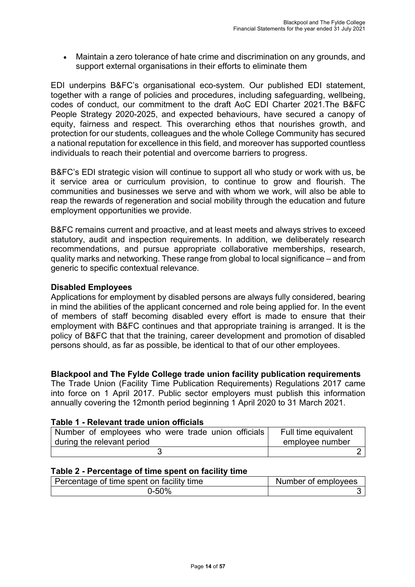• Maintain a zero tolerance of hate crime and discrimination on any grounds, and support external organisations in their efforts to eliminate them

EDI underpins B&FC's organisational eco-system. Our published EDI statement, together with a range of policies and procedures, including safeguarding, wellbeing, codes of conduct, our commitment to the draft AoC EDI Charter 2021.The B&FC People Strategy 2020-2025, and expected behaviours, have secured a canopy of equity, fairness and respect. This overarching ethos that nourishes growth, and protection for our students, colleagues and the whole College Community has secured a national reputation for excellence in this field, and moreover has supported countless individuals to reach their potential and overcome barriers to progress.

B&FC's EDI strategic vision will continue to support all who study or work with us, be it service area or curriculum provision, to continue to grow and flourish. The communities and businesses we serve and with whom we work, will also be able to reap the rewards of regeneration and social mobility through the education and future employment opportunities we provide.

B&FC remains current and proactive, and at least meets and always strives to exceed statutory, audit and inspection requirements. In addition, we deliberately research recommendations, and pursue appropriate collaborative memberships, research, quality marks and networking. These range from global to local significance – and from generic to specific contextual relevance.

## **Disabled Employees**

Applications for employment by disabled persons are always fully considered, bearing in mind the abilities of the applicant concerned and role being applied for. In the event of members of staff becoming disabled every effort is made to ensure that their employment with B&FC continues and that appropriate training is arranged. It is the policy of B&FC that that the training, career development and promotion of disabled persons should, as far as possible, be identical to that of our other employees.

#### **Blackpool and The Fylde College trade union facility publication requirements**

The Trade Union (Facility Time Publication Requirements) Regulations 2017 came into force on 1 April 2017. Public sector employers must publish this information annually covering the 12month period beginning 1 April 2020 to 31 March 2021.

#### **Table 1 - Relevant trade union officials**

| Number of employees who were trade union officials | Full time equivalent |
|----------------------------------------------------|----------------------|
| during the relevant period                         | employee number      |
|                                                    |                      |

#### **Table 2 - Percentage of time spent on facility time**

| Percentage of time spent on facility time | Number of employees |
|-------------------------------------------|---------------------|
| 0-50%                                     |                     |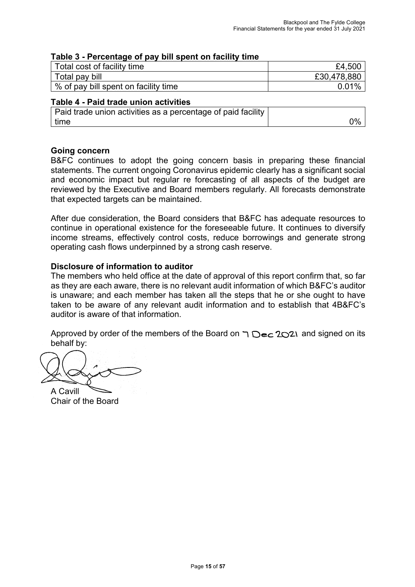## **Table 3 - Percentage of pay bill spent on facility time**

| Total cost of facility time          | £4,500      |
|--------------------------------------|-------------|
| Total pay bill                       | £30,478,880 |
| % of pay bill spent on facility time | 0.01%       |

## **Table 4 - Paid trade union activities**

| Paid trade union activities as a percentage of paid facility |    |
|--------------------------------------------------------------|----|
| l time                                                       | 0% |

## **Going concern**

B&FC continues to adopt the going concern basis in preparing these financial statements. The current ongoing Coronavirus epidemic clearly has a significant social and economic impact but regular re forecasting of all aspects of the budget are reviewed by the Executive and Board members regularly. All forecasts demonstrate that expected targets can be maintained.

After due consideration, the Board considers that B&FC has adequate resources to continue in operational existence for the foreseeable future. It continues to diversify income streams, effectively control costs, reduce borrowings and generate strong operating cash flows underpinned by a strong cash reserve.

## **Disclosure of information to auditor**

The members who held office at the date of approval of this report confirm that, so far as they are each aware, there is no relevant audit information of which B&FC's auditor is unaware; and each member has taken all the steps that he or she ought to have taken to be aware of any relevant audit information and to establish that 4B&FC's auditor is aware of that information.

Approved by order of the members of the Board on  $\bigcap$   $\bigcirc$   $\bigcirc$  2021 and signed on its behalf by:

A Cavill

Chair of the Board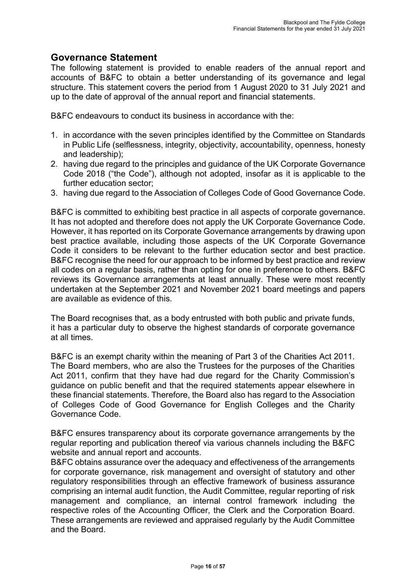## **Governance Statement**

The following statement is provided to enable readers of the annual report and accounts of B&FC to obtain a better understanding of its governance and legal structure. This statement covers the period from 1 August 2020 to 31 July 2021 and up to the date of approval of the annual report and financial statements.

B&FC endeavours to conduct its business in accordance with the:

- 1. in accordance with the seven principles identified by the Committee on Standards in Public Life (selflessness, integrity, objectivity, accountability, openness, honesty and leadership);
- 2. having due regard to the principles and guidance of the UK Corporate Governance Code 2018 ("the Code"), although not adopted, insofar as it is applicable to the further education sector;
- 3. having due regard to the Association of Colleges Code of Good Governance Code.

B&FC is committed to exhibiting best practice in all aspects of corporate governance. It has not adopted and therefore does not apply the UK Corporate Governance Code. However, it has reported on its Corporate Governance arrangements by drawing upon best practice available, including those aspects of the UK Corporate Governance Code it considers to be relevant to the further education sector and best practice. B&FC recognise the need for our approach to be informed by best practice and review all codes on a regular basis, rather than opting for one in preference to others. B&FC reviews its Governance arrangements at least annually. These were most recently undertaken at the September 2021 and November 2021 board meetings and papers are available as evidence of this.

The Board recognises that, as a body entrusted with both public and private funds, it has a particular duty to observe the highest standards of corporate governance at all times.

B&FC is an exempt charity within the meaning of Part 3 of the Charities Act 2011. The Board members, who are also the Trustees for the purposes of the Charities Act 2011, confirm that they have had due regard for the Charity Commission's guidance on public benefit and that the required statements appear elsewhere in these financial statements. Therefore, the Board also has regard to the Association of Colleges Code of Good Governance for English Colleges and the Charity Governance Code.

B&FC ensures transparency about its corporate governance arrangements by the regular reporting and publication thereof via various channels including the B&FC website and annual report and accounts.

B&FC obtains assurance over the adequacy and effectiveness of the arrangements for corporate governance, risk management and oversight of statutory and other regulatory responsibilities through an effective framework of business assurance comprising an internal audit function, the Audit Committee, regular reporting of risk management and compliance, an internal control framework including the respective roles of the Accounting Officer, the Clerk and the Corporation Board. These arrangements are reviewed and appraised regularly by the Audit Committee and the Board.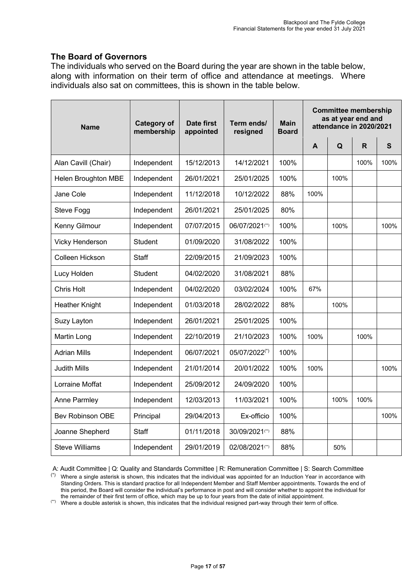## **The Board of Governors**

The individuals who served on the Board during the year are shown in the table below, along with information on their term of office and attendance at meetings. Where individuals also sat on committees, this is shown in the table below.

| <b>Name</b>            | <b>Category of</b><br>membership | <b>Date first</b><br>appointed | Term ends/<br>resigned | <b>Main</b><br><b>Board</b> | <b>Committee membership</b><br>as at year end and<br>attendance in 2020/2021 |      |              |              |
|------------------------|----------------------------------|--------------------------------|------------------------|-----------------------------|------------------------------------------------------------------------------|------|--------------|--------------|
|                        |                                  |                                |                        |                             | A                                                                            | Q    | $\mathsf{R}$ | $\mathbf{s}$ |
| Alan Cavill (Chair)    | Independent                      | 15/12/2013                     | 14/12/2021             | 100%                        |                                                                              |      | 100%         | 100%         |
| Helen Broughton MBE    | Independent                      | 26/01/2021                     | 25/01/2025             | 100%                        |                                                                              | 100% |              |              |
| Jane Cole              | Independent                      | 11/12/2018                     | 10/12/2022             | 88%                         | 100%                                                                         |      |              |              |
| Steve Fogg             | Independent                      | 26/01/2021                     | 25/01/2025             | 80%                         |                                                                              |      |              |              |
| Kenny Gilmour          | Independent                      | 07/07/2015                     | 06/07/2021(**)         | 100%                        |                                                                              | 100% |              | 100%         |
| Vicky Henderson        | <b>Student</b>                   | 01/09/2020                     | 31/08/2022             | 100%                        |                                                                              |      |              |              |
| Colleen Hickson        | Staff                            | 22/09/2015                     | 21/09/2023             | 100%                        |                                                                              |      |              |              |
| Lucy Holden            | Student                          | 04/02/2020                     | 31/08/2021             | 88%                         |                                                                              |      |              |              |
| Chris Holt             | Independent                      | 04/02/2020                     | 03/02/2024             | 100%                        | 67%                                                                          |      |              |              |
| <b>Heather Knight</b>  | Independent                      | 01/03/2018                     | 28/02/2022             | 88%                         |                                                                              | 100% |              |              |
| Suzy Layton            | Independent                      | 26/01/2021                     | 25/01/2025             | 100%                        |                                                                              |      |              |              |
| Martin Long            | Independent                      | 22/10/2019                     | 21/10/2023             | 100%                        | 100%                                                                         |      | 100%         |              |
| <b>Adrian Mills</b>    | Independent                      | 06/07/2021                     | 05/07/2022(*)          | 100%                        |                                                                              |      |              |              |
| <b>Judith Mills</b>    | Independent                      | 21/01/2014                     | 20/01/2022             | 100%                        | 100%                                                                         |      |              | 100%         |
| <b>Lorraine Moffat</b> | Independent                      | 25/09/2012                     | 24/09/2020             | 100%                        |                                                                              |      |              |              |
| Anne Parmley           | Independent                      | 12/03/2013                     | 11/03/2021             | 100%                        |                                                                              | 100% | 100%         |              |
| Bev Robinson OBE       | Principal                        | 29/04/2013                     | Ex-officio             | 100%                        |                                                                              |      |              | 100%         |
| Joanne Shepherd        | <b>Staff</b>                     | 01/11/2018                     | 30/09/2021(*)          | 88%                         |                                                                              |      |              |              |
| <b>Steve Williams</b>  | Independent                      | 29/01/2019                     | 02/08/2021(**)         | 88%                         |                                                                              | 50%  |              |              |

A: Audit Committee | Q: Quality and Standards Committee | R: Remuneration Committee | S: Search Committee

(\*) Where a single asterisk is shown, this indicates that the individual was appointed for an Induction Year in accordance with Standing Orders. This is standard practice for all Independent Member and Staff Member appointments. Towards the end of this period, the Board will consider the individual's performance in post and will consider whether to appoint the individual for the remainder of their first term of office, which may be up to four years from the date of initial appointment.

(\*) Where a double asterisk is shown, this indicates that the individual resigned part-way through their term of office.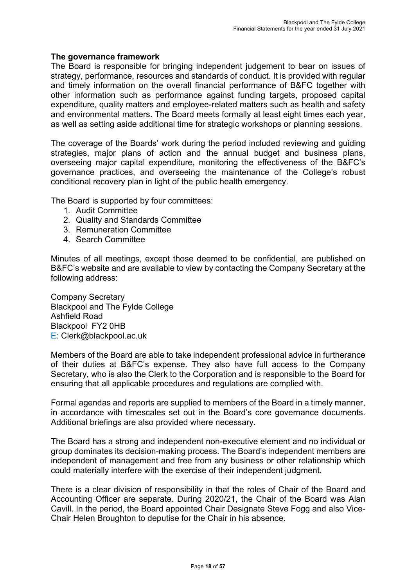## **The governance framework**

The Board is responsible for bringing independent judgement to bear on issues of strategy, performance, resources and standards of conduct. It is provided with regular and timely information on the overall financial performance of B&FC together with other information such as performance against funding targets, proposed capital expenditure, quality matters and employee-related matters such as health and safety and environmental matters. The Board meets formally at least eight times each year, as well as setting aside additional time for strategic workshops or planning sessions.

The coverage of the Boards' work during the period included reviewing and guiding strategies, major plans of action and the annual budget and business plans, overseeing major capital expenditure, monitoring the effectiveness of the B&FC's governance practices, and overseeing the maintenance of the College's robust conditional recovery plan in light of the public health emergency.

The Board is supported by four committees:

- 1. Audit Committee
- 2. Quality and Standards Committee
- 3. Remuneration Committee
- 4. Search Committee

Minutes of all meetings, except those deemed to be confidential, are published on B&FC's website and are available to view by contacting the Company Secretary at the following address:

Company Secretary Blackpool and The Fylde College Ashfield Road Blackpool FY2 0HB E: Clerk@blackpool.ac.uk

Members of the Board are able to take independent professional advice in furtherance of their duties at B&FC's expense. They also have full access to the Company Secretary, who is also the Clerk to the Corporation and is responsible to the Board for ensuring that all applicable procedures and regulations are complied with.

Formal agendas and reports are supplied to members of the Board in a timely manner, in accordance with timescales set out in the Board's core governance documents. Additional briefings are also provided where necessary.

The Board has a strong and independent non-executive element and no individual or group dominates its decision-making process. The Board's independent members are independent of management and free from any business or other relationship which could materially interfere with the exercise of their independent judgment.

There is a clear division of responsibility in that the roles of Chair of the Board and Accounting Officer are separate. During 2020/21, the Chair of the Board was Alan Cavill. In the period, the Board appointed Chair Designate Steve Fogg and also Vice-Chair Helen Broughton to deputise for the Chair in his absence.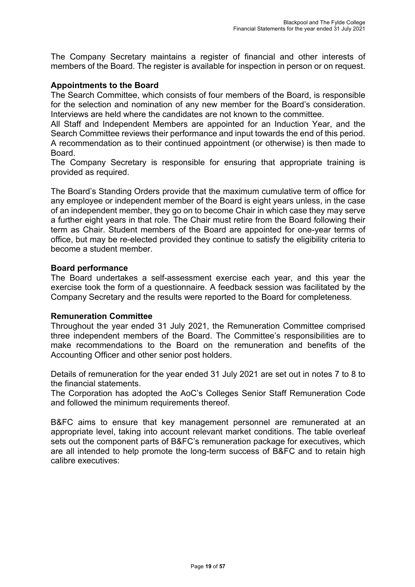The Company Secretary maintains a register of financial and other interests of members of the Board. The register is available for inspection in person or on request.

## **Appointments to the Board**

The Search Committee, which consists of four members of the Board, is responsible for the selection and nomination of any new member for the Board's consideration. Interviews are held where the candidates are not known to the committee.

All Staff and Independent Members are appointed for an Induction Year, and the Search Committee reviews their performance and input towards the end of this period. A recommendation as to their continued appointment (or otherwise) is then made to Board.

The Company Secretary is responsible for ensuring that appropriate training is provided as required.

The Board's Standing Orders provide that the maximum cumulative term of office for any employee or independent member of the Board is eight years unless, in the case of an independent member, they go on to become Chair in which case they may serve a further eight years in that role. The Chair must retire from the Board following their term as Chair. Student members of the Board are appointed for one-year terms of office, but may be re-elected provided they continue to satisfy the eligibility criteria to become a student member.

#### **Board performance**

The Board undertakes a self-assessment exercise each year, and this year the exercise took the form of a questionnaire. A feedback session was facilitated by the Company Secretary and the results were reported to the Board for completeness*.* 

#### **Remuneration Committee**

Throughout the year ended 31 July 2021, the Remuneration Committee comprised three independent members of the Board. The Committee's responsibilities are to make recommendations to the Board on the remuneration and benefits of the Accounting Officer and other senior post holders.

Details of remuneration for the year ended 31 July 2021 are set out in notes 7 to 8 to the financial statements.

The Corporation has adopted the AoC's Colleges Senior Staff Remuneration Code and followed the minimum requirements thereof.

B&FC aims to ensure that key management personnel are remunerated at an appropriate level, taking into account relevant market conditions. The table overleaf sets out the component parts of B&FC's remuneration package for executives, which are all intended to help promote the long-term success of B&FC and to retain high calibre executives: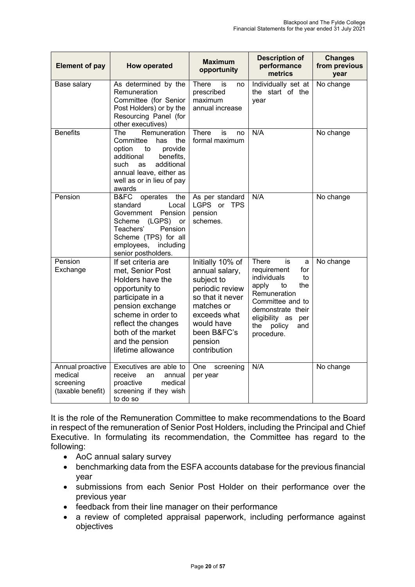| <b>Element of pay</b>                                         | <b>How operated</b>                                                                                                                                                                                                               | <b>Maximum</b><br>opportunity                                                                                                                                                 | <b>Description of</b><br>performance<br>metrics                                                                                                                                                           | <b>Changes</b><br>from previous<br>year |
|---------------------------------------------------------------|-----------------------------------------------------------------------------------------------------------------------------------------------------------------------------------------------------------------------------------|-------------------------------------------------------------------------------------------------------------------------------------------------------------------------------|-----------------------------------------------------------------------------------------------------------------------------------------------------------------------------------------------------------|-----------------------------------------|
| Base salary                                                   | As determined by the<br>Remuneration<br>Committee (for Senior<br>Post Holders) or by the<br>Resourcing Panel (for<br>other executives)                                                                                            | <b>There</b><br>is<br>no<br>prescribed<br>maximum<br>annual increase                                                                                                          | Individually set at<br>the start of the<br>vear                                                                                                                                                           | No change                               |
| <b>Benefits</b>                                               | <b>The</b><br>Remuneration<br>Committee<br>has<br>the<br>option<br>provide<br>to to<br>additional<br>benefits,<br>additional<br>such<br><b>as</b><br>annual leave, either as<br>well as or in lieu of pay<br>awards               | <b>There</b><br>is<br>no<br>formal maximum                                                                                                                                    | N/A                                                                                                                                                                                                       | No change                               |
| Pension                                                       | B&FC<br>operates<br>the<br>standard<br>Local<br>Pension<br>Government<br>(LGPS)<br>Scheme<br>or<br>Teachers'<br>Pension<br>Scheme (TPS) for all<br>including<br>employees,<br>senior postholders.                                 | As per standard<br>LGPS or<br><b>TPS</b><br>pension<br>schemes.                                                                                                               | N/A                                                                                                                                                                                                       | No change                               |
| Pension<br>Exchange                                           | If set criteria are<br>met, Senior Post<br>Holders have the<br>opportunity to<br>participate in a<br>pension exchange<br>scheme in order to<br>reflect the changes<br>both of the market<br>and the pension<br>lifetime allowance | Initially 10% of<br>annual salary,<br>subject to<br>periodic review<br>so that it never<br>matches or<br>exceeds what<br>would have<br>been B&FC's<br>pension<br>contribution | There<br>is<br>a<br>requirement<br>for<br>individuals<br>to<br>apply<br>to<br>the<br>Remuneration<br>Committee and to<br>demonstrate their<br>eligibility as<br>per<br>the<br>policy<br>and<br>procedure. | No change                               |
| Annual proactive<br>medical<br>screening<br>(taxable benefit) | Executives are able to<br>receive<br>annual<br>an<br>proactive<br>medical<br>screening if they wish<br>to do so                                                                                                                   | One<br>screening<br>per year                                                                                                                                                  | N/A                                                                                                                                                                                                       | No change                               |

It is the role of the Remuneration Committee to make recommendations to the Board in respect of the remuneration of Senior Post Holders, including the Principal and Chief Executive. In formulating its recommendation, the Committee has regard to the following:

- AoC annual salary survey
- benchmarking data from the ESFA accounts database for the previous financial year
- submissions from each Senior Post Holder on their performance over the previous year
- feedback from their line manager on their performance
- a review of completed appraisal paperwork, including performance against objectives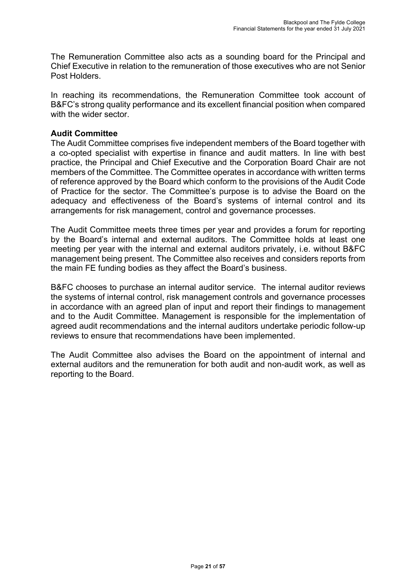The Remuneration Committee also acts as a sounding board for the Principal and Chief Executive in relation to the remuneration of those executives who are not Senior Post Holders.

In reaching its recommendations, the Remuneration Committee took account of B&FC's strong quality performance and its excellent financial position when compared with the wider sector.

## **Audit Committee**

The Audit Committee comprises five independent members of the Board together with a co-opted specialist with expertise in finance and audit matters. In line with best practice, the Principal and Chief Executive and the Corporation Board Chair are not members of the Committee. The Committee operates in accordance with written terms of reference approved by the Board which conform to the provisions of the Audit Code of Practice for the sector. The Committee's purpose is to advise the Board on the adequacy and effectiveness of the Board's systems of internal control and its arrangements for risk management, control and governance processes.

The Audit Committee meets three times per year and provides a forum for reporting by the Board's internal and external auditors. The Committee holds at least one meeting per year with the internal and external auditors privately, i.e. without B&FC management being present. The Committee also receives and considers reports from the main FE funding bodies as they affect the Board's business.

B&FC chooses to purchase an internal auditor service. The internal auditor reviews the systems of internal control, risk management controls and governance processes in accordance with an agreed plan of input and report their findings to management and to the Audit Committee. Management is responsible for the implementation of agreed audit recommendations and the internal auditors undertake periodic follow-up reviews to ensure that recommendations have been implemented.

The Audit Committee also advises the Board on the appointment of internal and external auditors and the remuneration for both audit and non-audit work, as well as reporting to the Board.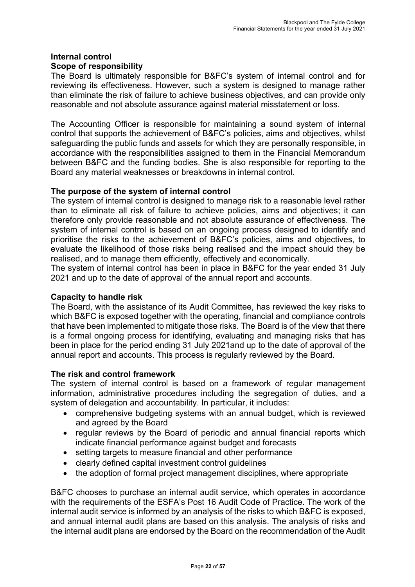## **Internal control Scope of responsibility**

The Board is ultimately responsible for B&FC's system of internal control and for reviewing its effectiveness. However, such a system is designed to manage rather than eliminate the risk of failure to achieve business objectives, and can provide only reasonable and not absolute assurance against material misstatement or loss.

The Accounting Officer is responsible for maintaining a sound system of internal control that supports the achievement of B&FC's policies, aims and objectives, whilst safeguarding the public funds and assets for which they are personally responsible, in accordance with the responsibilities assigned to them in the Financial Memorandum between B&FC and the funding bodies. She is also responsible for reporting to the Board any material weaknesses or breakdowns in internal control.

## **The purpose of the system of internal control**

The system of internal control is designed to manage risk to a reasonable level rather than to eliminate all risk of failure to achieve policies, aims and objectives; it can therefore only provide reasonable and not absolute assurance of effectiveness. The system of internal control is based on an ongoing process designed to identify and prioritise the risks to the achievement of B&FC's policies, aims and objectives, to evaluate the likelihood of those risks being realised and the impact should they be realised, and to manage them efficiently, effectively and economically.

The system of internal control has been in place in B&FC for the year ended 31 July 2021 and up to the date of approval of the annual report and accounts.

## **Capacity to handle risk**

The Board, with the assistance of its Audit Committee, has reviewed the key risks to which B&FC is exposed together with the operating, financial and compliance controls that have been implemented to mitigate those risks. The Board is of the view that there is a formal ongoing process for identifying, evaluating and managing risks that has been in place for the period ending 31 July 2021and up to the date of approval of the annual report and accounts. This process is regularly reviewed by the Board.

## **The risk and control framework**

The system of internal control is based on a framework of regular management information, administrative procedures including the segregation of duties, and a system of delegation and accountability. In particular, it includes:

- comprehensive budgeting systems with an annual budget, which is reviewed and agreed by the Board
- regular reviews by the Board of periodic and annual financial reports which indicate financial performance against budget and forecasts
- setting targets to measure financial and other performance
- clearly defined capital investment control guidelines
- the adoption of formal project management disciplines, where appropriate

B&FC chooses to purchase an internal audit service, which operates in accordance with the requirements of the ESFA's Post 16 Audit Code of Practice. The work of the internal audit service is informed by an analysis of the risks to which B&FC is exposed, and annual internal audit plans are based on this analysis. The analysis of risks and the internal audit plans are endorsed by the Board on the recommendation of the Audit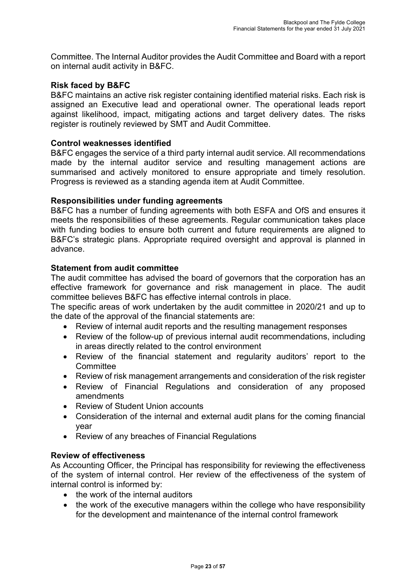Committee. The Internal Auditor provides the Audit Committee and Board with a report on internal audit activity in B&FC.

## **Risk faced by B&FC**

B&FC maintains an active risk register containing identified material risks. Each risk is assigned an Executive lead and operational owner. The operational leads report against likelihood, impact, mitigating actions and target delivery dates. The risks register is routinely reviewed by SMT and Audit Committee.

## **Control weaknesses identified**

B&FC engages the service of a third party internal audit service. All recommendations made by the internal auditor service and resulting management actions are summarised and actively monitored to ensure appropriate and timely resolution. Progress is reviewed as a standing agenda item at Audit Committee.

## **Responsibilities under funding agreements**

B&FC has a number of funding agreements with both ESFA and OfS and ensures it meets the responsibilities of these agreements. Regular communication takes place with funding bodies to ensure both current and future requirements are aligned to B&FC's strategic plans. Appropriate required oversight and approval is planned in advance.

## **Statement from audit committee**

The audit committee has advised the board of governors that the corporation has an effective framework for governance and risk management in place. The audit committee believes B&FC has effective internal controls in place.

The specific areas of work undertaken by the audit committee in 2020/21 and up to the date of the approval of the financial statements are:

- Review of internal audit reports and the resulting management responses
- Review of the follow-up of previous internal audit recommendations, including in areas directly related to the control environment
- Review of the financial statement and regularity auditors' report to the **Committee**
- Review of risk management arrangements and consideration of the risk register
- Review of Financial Regulations and consideration of any proposed amendments
- Review of Student Union accounts
- Consideration of the internal and external audit plans for the coming financial year
- Review of any breaches of Financial Regulations

#### **Review of effectiveness**

As Accounting Officer, the Principal has responsibility for reviewing the effectiveness of the system of internal control. Her review of the effectiveness of the system of internal control is informed by:

- the work of the internal auditors
- the work of the executive managers within the college who have responsibility for the development and maintenance of the internal control framework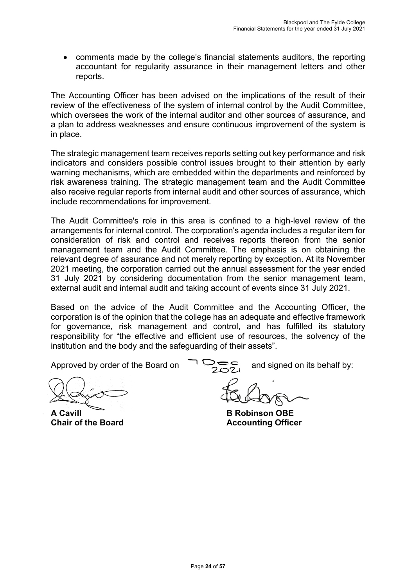• comments made by the college's financial statements auditors, the reporting accountant for regularity assurance in their management letters and other reports.

The Accounting Officer has been advised on the implications of the result of their review of the effectiveness of the system of internal control by the Audit Committee, which oversees the work of the internal auditor and other sources of assurance, and a plan to address weaknesses and ensure continuous improvement of the system is in place.

The strategic management team receives reports setting out key performance and risk indicators and considers possible control issues brought to their attention by early warning mechanisms, which are embedded within the departments and reinforced by risk awareness training. The strategic management team and the Audit Committee also receive regular reports from internal audit and other sources of assurance, which include recommendations for improvement.

The Audit Committee's role in this area is confined to a high-level review of the arrangements for internal control. The corporation's agenda includes a regular item for consideration of risk and control and receives reports thereon from the senior management team and the Audit Committee. The emphasis is on obtaining the relevant degree of assurance and not merely reporting by exception. At its November 2021 meeting, the corporation carried out the annual assessment for the year ended 31 July 2021 by considering documentation from the senior management team, external audit and internal audit and taking account of events since 31 July 2021.

Based on the advice of the Audit Committee and the Accounting Officer, the corporation is of the opinion that the college has an adequate and effective framework for governance, risk management and control, and has fulfilled its statutory responsibility for "the effective and efficient use of resources, the solvency of the institution and the body and the safeguarding of their assets".

**A Cavill B Robinson OBE**

Approved by order of the Board on  $\overline{1}$   $\overline{2}$  and signed on its behalf by:

**Chair of the Board Chair Chair Chair Chair Chair Accounting Officer**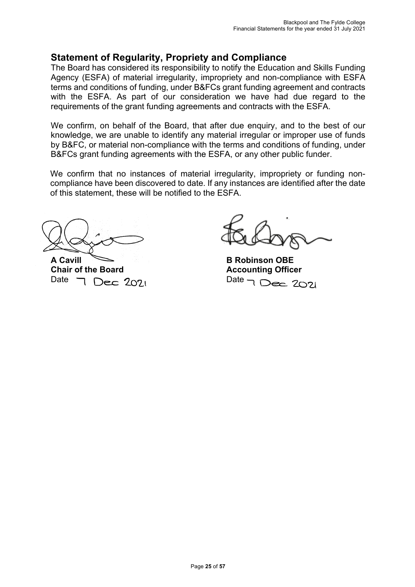## **Statement of Regularity, Propriety and Compliance**

The Board has considered its responsibility to notify the Education and Skills Funding Agency (ESFA) of material irregularity, impropriety and non-compliance with ESFA terms and conditions of funding, under B&FCs grant funding agreement and contracts with the ESFA. As part of our consideration we have had due regard to the requirements of the grant funding agreements and contracts with the ESFA.

We confirm, on behalf of the Board, that after due enquiry, and to the best of our knowledge, we are unable to identify any material irregular or improper use of funds by B&FC, or material non-compliance with the terms and conditions of funding, under B&FCs grant funding agreements with the ESFA, or any other public funder.

We confirm that no instances of material irregularity, impropriety or funding noncompliance have been discovered to date. If any instances are identified after the date of this statement, these will be notified to the ESFA.

**A Cavill B Robinson OBE Chair of the Board Accounting Officer<br>Date 7 Dec 2021** Date 7 Dec 2021 Date  $\neg$  Dec 2021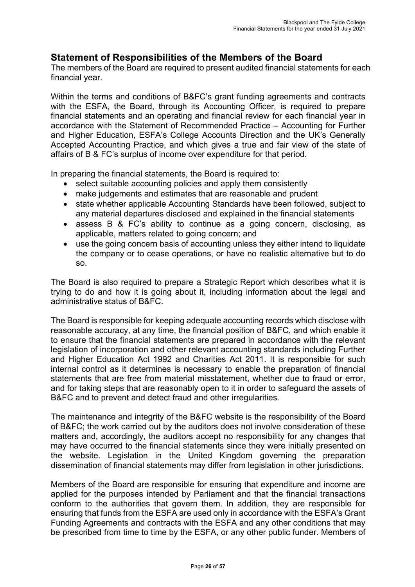## **Statement of Responsibilities of the Members of the Board**

The members of the Board are required to present audited financial statements for each financial year.

Within the terms and conditions of B&FC's grant funding agreements and contracts with the ESFA, the Board, through its Accounting Officer, is required to prepare financial statements and an operating and financial review for each financial year in accordance with the Statement of Recommended Practice – Accounting for Further and Higher Education, ESFA's College Accounts Direction and the UK's Generally Accepted Accounting Practice, and which gives a true and fair view of the state of affairs of B & FC's surplus of income over expenditure for that period.

In preparing the financial statements, the Board is required to:

- select suitable accounting policies and apply them consistently
- make judgements and estimates that are reasonable and prudent
- state whether applicable Accounting Standards have been followed, subject to any material departures disclosed and explained in the financial statements
- assess B & FC's ability to continue as a going concern, disclosing, as applicable, matters related to going concern; and
- use the going concern basis of accounting unless they either intend to liquidate the company or to cease operations, or have no realistic alternative but to do so.

The Board is also required to prepare a Strategic Report which describes what it is trying to do and how it is going about it, including information about the legal and administrative status of B&FC.

The Board is responsible for keeping adequate accounting records which disclose with reasonable accuracy, at any time, the financial position of B&FC, and which enable it to ensure that the financial statements are prepared in accordance with the relevant legislation of incorporation and other relevant accounting standards including Further and Higher Education Act 1992 and Charities Act 2011. It is responsible for such internal control as it determines is necessary to enable the preparation of financial statements that are free from material misstatement, whether due to fraud or error, and for taking steps that are reasonably open to it in order to safeguard the assets of B&FC and to prevent and detect fraud and other irregularities.

The maintenance and integrity of the B&FC website is the responsibility of the Board of B&FC; the work carried out by the auditors does not involve consideration of these matters and, accordingly, the auditors accept no responsibility for any changes that may have occurred to the financial statements since they were initially presented on the website. Legislation in the United Kingdom governing the preparation dissemination of financial statements may differ from legislation in other jurisdictions.

Members of the Board are responsible for ensuring that expenditure and income are applied for the purposes intended by Parliament and that the financial transactions conform to the authorities that govern them. In addition, they are responsible for ensuring that funds from the ESFA are used only in accordance with the ESFA's Grant Funding Agreements and contracts with the ESFA and any other conditions that may be prescribed from time to time by the ESFA, or any other public funder. Members of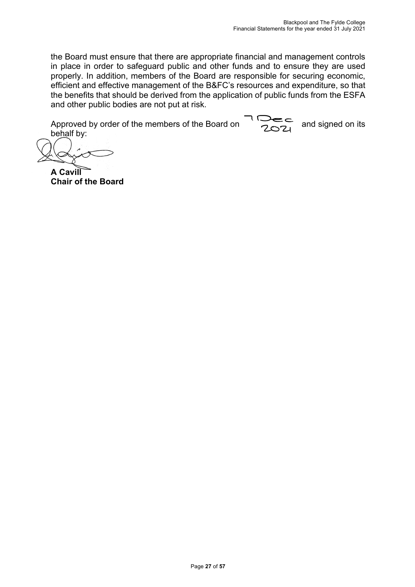the Board must ensure that there are appropriate financial and management controls in place in order to safeguard public and other funds and to ensure they are used properly. In addition, members of the Board are responsible for securing economic, efficient and effective management of the B&FC's resources and expenditure, so that the benefits that should be derived from the application of public funds from the ESFA and other public bodies are not put at risk.

Approved by order of the members of the Board on  $\frac{1}{202}$  and signed on its behalf by:

**A Cavill Chair of the Board**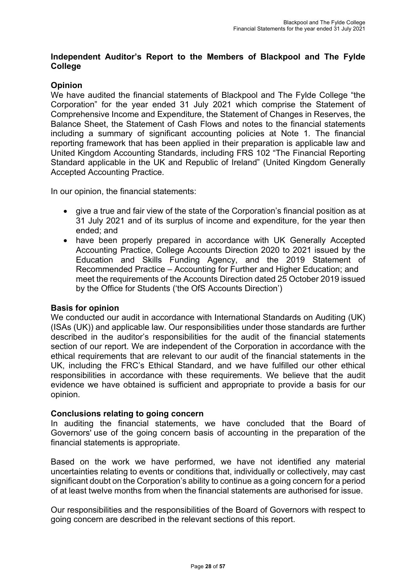## **Independent Auditor's Report to the Members of Blackpool and The Fylde College**

## **Opinion**

We have audited the financial statements of Blackpool and The Fylde College "the Corporation" for the year ended 31 July 2021 which comprise the Statement of Comprehensive Income and Expenditure, the Statement of Changes in Reserves, the Balance Sheet, the Statement of Cash Flows and notes to the financial statements including a summary of significant accounting policies at Note 1. The financial reporting framework that has been applied in their preparation is applicable law and United Kingdom Accounting Standards, including FRS 102 "The Financial Reporting Standard applicable in the UK and Republic of Ireland" (United Kingdom Generally Accepted Accounting Practice.

In our opinion, the financial statements:

- give a true and fair view of the state of the Corporation's financial position as at 31 July 2021 and of its surplus of income and expenditure, for the year then ended; and
- have been properly prepared in accordance with UK Generally Accepted Accounting Practice, College Accounts Direction 2020 to 2021 issued by the Education and Skills Funding Agency, and the 2019 Statement of Recommended Practice – Accounting for Further and Higher Education; and meet the requirements of the Accounts Direction dated 25 October 2019 issued by the Office for Students ('the OfS Accounts Direction')

#### **Basis for opinion**

We conducted our audit in accordance with International Standards on Auditing (UK) (ISAs (UK)) and applicable law. Our responsibilities under those standards are further described in the auditor's responsibilities for the audit of the financial statements section of our report. We are independent of the Corporation in accordance with the ethical requirements that are relevant to our audit of the financial statements in the UK, including the FRC's Ethical Standard, and we have fulfilled our other ethical responsibilities in accordance with these requirements. We believe that the audit evidence we have obtained is sufficient and appropriate to provide a basis for our opinion.

#### **Conclusions relating to going concern**

In auditing the financial statements, we have concluded that the Board of Governors' use of the going concern basis of accounting in the preparation of the financial statements is appropriate.

Based on the work we have performed, we have not identified any material uncertainties relating to events or conditions that, individually or collectively, may cast significant doubt on the Corporation's ability to continue as a going concern for a period of at least twelve months from when the financial statements are authorised for issue.

Our responsibilities and the responsibilities of the Board of Governors with respect to going concern are described in the relevant sections of this report.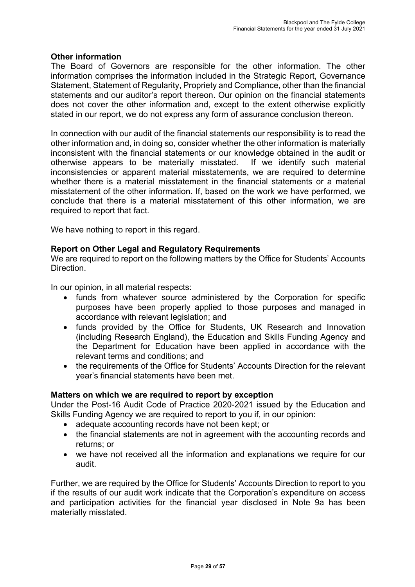## **Other information**

The Board of Governors are responsible for the other information. The other information comprises the information included in the Strategic Report, Governance Statement, Statement of Regularity, Propriety and Compliance, other than the financial statements and our auditor's report thereon. Our opinion on the financial statements does not cover the other information and, except to the extent otherwise explicitly stated in our report, we do not express any form of assurance conclusion thereon.

In connection with our audit of the financial statements our responsibility is to read the other information and, in doing so, consider whether the other information is materially inconsistent with the financial statements or our knowledge obtained in the audit or otherwise appears to be materially misstated. If we identify such material inconsistencies or apparent material misstatements, we are required to determine whether there is a material misstatement in the financial statements or a material misstatement of the other information. If, based on the work we have performed, we conclude that there is a material misstatement of this other information, we are required to report that fact.

We have nothing to report in this regard.

## **Report on Other Legal and Regulatory Requirements**

We are required to report on the following matters by the Office for Students' Accounts Direction.

In our opinion, in all material respects:

- funds from whatever source administered by the Corporation for specific purposes have been properly applied to those purposes and managed in accordance with relevant legislation; and
- funds provided by the Office for Students, UK Research and Innovation (including Research England), the Education and Skills Funding Agency and the Department for Education have been applied in accordance with the relevant terms and conditions; and
- the requirements of the Office for Students' Accounts Direction for the relevant year's financial statements have been met.

#### **Matters on which we are required to report by exception**

Under the Post-16 Audit Code of Practice 2020-2021 issued by the Education and Skills Funding Agency we are required to report to you if, in our opinion:

- adequate accounting records have not been kept; or
- the financial statements are not in agreement with the accounting records and returns; or
- we have not received all the information and explanations we require for our audit.

Further, we are required by the Office for Students' Accounts Direction to report to you if the results of our audit work indicate that the Corporation's expenditure on access and participation activities for the financial year disclosed in Note 9a has been materially misstated.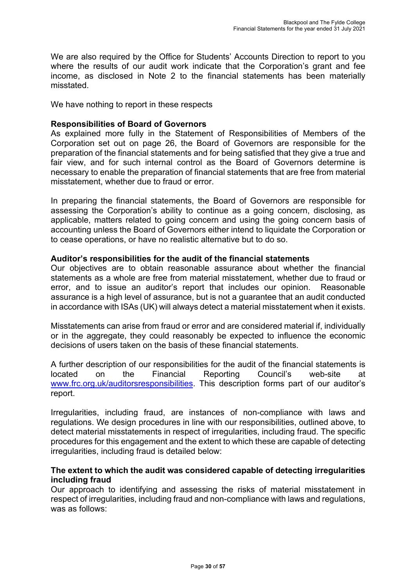We are also required by the Office for Students' Accounts Direction to report to you where the results of our audit work indicate that the Corporation's grant and fee income, as disclosed in Note 2 to the financial statements has been materially misstated.

We have nothing to report in these respects

## **Responsibilities of Board of Governors**

As explained more fully in the Statement of Responsibilities of Members of the Corporation set out on page 26, the Board of Governors are responsible for the preparation of the financial statements and for being satisfied that they give a true and fair view, and for such internal control as the Board of Governors determine is necessary to enable the preparation of financial statements that are free from material misstatement, whether due to fraud or error.

In preparing the financial statements, the Board of Governors are responsible for assessing the Corporation's ability to continue as a going concern, disclosing, as applicable, matters related to going concern and using the going concern basis of accounting unless the Board of Governors either intend to liquidate the Corporation or to cease operations, or have no realistic alternative but to do so.

## **Auditor's responsibilities for the audit of the financial statements**

Our objectives are to obtain reasonable assurance about whether the financial statements as a whole are free from material misstatement, whether due to fraud or error, and to issue an auditor's report that includes our opinion. Reasonable assurance is a high level of assurance, but is not a guarantee that an audit conducted in accordance with ISAs (UK) will always detect a material misstatement when it exists.

Misstatements can arise from fraud or error and are considered material if, individually or in the aggregate, they could reasonably be expected to influence the economic decisions of users taken on the basis of these financial statements.

A further description of our responsibilities for the audit of the financial statements is located on the Financial Reporting Council's web-site at www.frc.org.uk/auditorsresponsibilities. This description forms part of our auditor's report.

Irregularities, including fraud, are instances of non-compliance with laws and regulations. We design procedures in line with our responsibilities, outlined above, to detect material misstatements in respect of irregularities, including fraud. The specific procedures for this engagement and the extent to which these are capable of detecting irregularities, including fraud is detailed below:

## **The extent to which the audit was considered capable of detecting irregularities including fraud**

Our approach to identifying and assessing the risks of material misstatement in respect of irregularities, including fraud and non-compliance with laws and regulations, was as follows: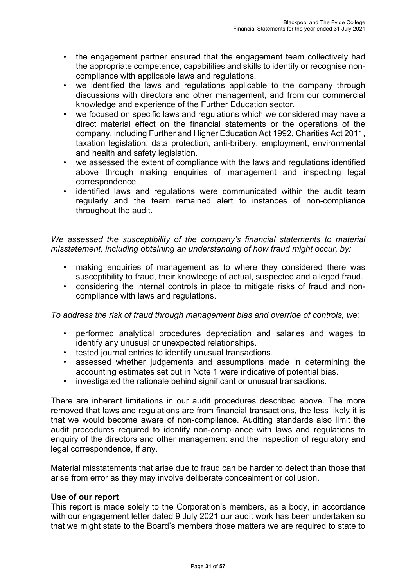- the engagement partner ensured that the engagement team collectively had the appropriate competence, capabilities and skills to identify or recognise noncompliance with applicable laws and regulations.
- we identified the laws and regulations applicable to the company through discussions with directors and other management, and from our commercial knowledge and experience of the Further Education sector.
- we focused on specific laws and regulations which we considered may have a direct material effect on the financial statements or the operations of the company, including Further and Higher Education Act 1992, Charities Act 2011, taxation legislation, data protection, anti-bribery, employment, environmental and health and safety legislation.
- we assessed the extent of compliance with the laws and regulations identified above through making enquiries of management and inspecting legal correspondence.
- identified laws and regulations were communicated within the audit team regularly and the team remained alert to instances of non-compliance throughout the audit.

*We assessed the susceptibility of the company's financial statements to material misstatement, including obtaining an understanding of how fraud might occur, by:* 

- making enquiries of management as to where they considered there was susceptibility to fraud, their knowledge of actual, suspected and alleged fraud.
- considering the internal controls in place to mitigate risks of fraud and noncompliance with laws and regulations.

*To address the risk of fraud through management bias and override of controls, we:* 

- performed analytical procedures depreciation and salaries and wages to identify any unusual or unexpected relationships.
- tested journal entries to identify unusual transactions.
- assessed whether judgements and assumptions made in determining the accounting estimates set out in Note 1 were indicative of potential bias.
- investigated the rationale behind significant or unusual transactions.

There are inherent limitations in our audit procedures described above. The more removed that laws and regulations are from financial transactions, the less likely it is that we would become aware of non-compliance. Auditing standards also limit the audit procedures required to identify non-compliance with laws and regulations to enquiry of the directors and other management and the inspection of regulatory and legal correspondence, if any.

Material misstatements that arise due to fraud can be harder to detect than those that arise from error as they may involve deliberate concealment or collusion.

## **Use of our report**

This report is made solely to the Corporation's members, as a body, in accordance with our engagement letter dated 9 July 2021 our audit work has been undertaken so that we might state to the Board's members those matters we are required to state to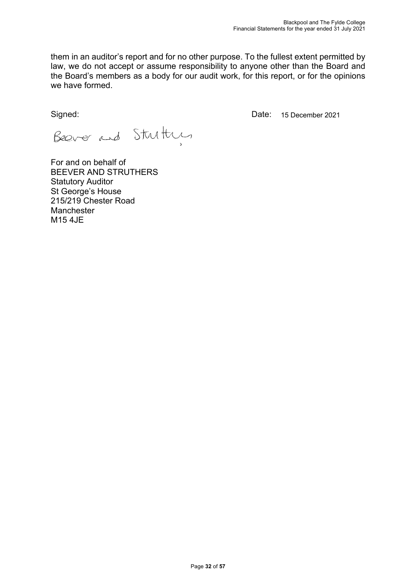them in an auditor's report and for no other purpose. To the fullest extent permitted by law, we do not accept or assume responsibility to anyone other than the Board and the Board's members as a body for our audit work, for this report, or for the opinions we have formed.

Signed:

Date: 15 December 2021

Beaver and Stutty

For and on behalf of BEEVER AND STRUTHERS Statutory Auditor St George's House 215/219 Chester Road Manchester M15 4JE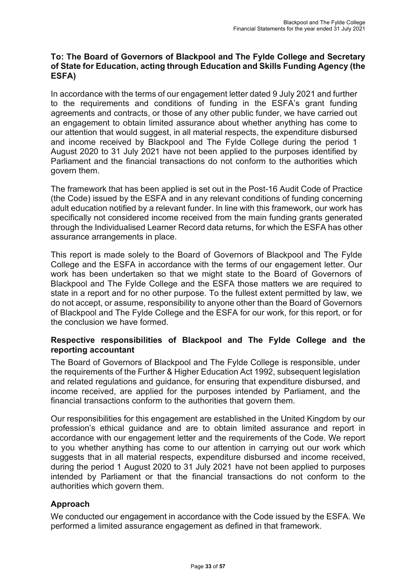## **To: The Board of Governors of Blackpool and The Fylde College and Secretary of State for Education, acting through Education and Skills Funding Agency (the ESFA)**

In accordance with the terms of our engagement letter dated 9 July 2021 and further to the requirements and conditions of funding in the ESFA's grant funding agreements and contracts, or those of any other public funder, we have carried out an engagement to obtain limited assurance about whether anything has come to our attention that would suggest, in all material respects, the expenditure disbursed and income received by Blackpool and The Fylde College during the period 1 August 2020 to 31 July 2021 have not been applied to the purposes identified by Parliament and the financial transactions do not conform to the authorities which govern them.

The framework that has been applied is set out in the Post-16 Audit Code of Practice (the Code) issued by the ESFA and in any relevant conditions of funding concerning adult education notified by a relevant funder. In line with this framework, our work has specifically not considered income received from the main funding grants generated through the Individualised Learner Record data returns, for which the ESFA has other assurance arrangements in place.

This report is made solely to the Board of Governors of Blackpool and The Fylde College and the ESFA in accordance with the terms of our engagement letter. Our work has been undertaken so that we might state to the Board of Governors of Blackpool and The Fylde College and the ESFA those matters we are required to state in a report and for no other purpose. To the fullest extent permitted by law, we do not accept, or assume, responsibility to anyone other than the Board of Governors of Blackpool and The Fylde College and the ESFA for our work, for this report, or for the conclusion we have formed.

## **Respective responsibilities of Blackpool and The Fylde College and the reporting accountant**

The Board of Governors of Blackpool and The Fylde College is responsible, under the requirements of the Further & Higher Education Act 1992, subsequent legislation and related regulations and guidance, for ensuring that expenditure disbursed, and income received, are applied for the purposes intended by Parliament, and the financial transactions conform to the authorities that govern them.

Our responsibilities for this engagement are established in the United Kingdom by our profession's ethical guidance and are to obtain limited assurance and report in accordance with our engagement letter and the requirements of the Code. We report to you whether anything has come to our attention in carrying out our work which suggests that in all material respects, expenditure disbursed and income received, during the period 1 August 2020 to 31 July 2021 have not been applied to purposes intended by Parliament or that the financial transactions do not conform to the authorities which govern them.

## **Approach**

We conducted our engagement in accordance with the Code issued by the ESFA. We performed a limited assurance engagement as defined in that framework.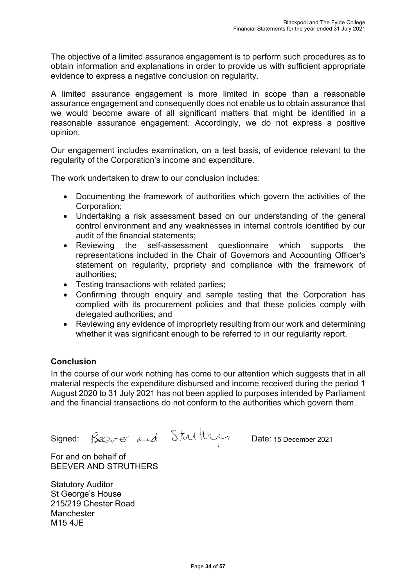The objective of a limited assurance engagement is to perform such procedures as to obtain information and explanations in order to provide us with sufficient appropriate evidence to express a negative conclusion on regularity.

A limited assurance engagement is more limited in scope than a reasonable assurance engagement and consequently does not enable us to obtain assurance that we would become aware of all significant matters that might be identified in a reasonable assurance engagement. Accordingly, we do not express a positive opinion.

Our engagement includes examination, on a test basis, of evidence relevant to the regularity of the Corporation's income and expenditure.

The work undertaken to draw to our conclusion includes:

- Documenting the framework of authorities which govern the activities of the Corporation;
- Undertaking a risk assessment based on our understanding of the general control environment and any weaknesses in internal controls identified by our audit of the financial statements;
- Reviewing the self-assessment questionnaire which supports the representations included in the Chair of Governors and Accounting Officer's statement on regularity, propriety and compliance with the framework of authorities;
- Testing transactions with related parties;
- Confirming through enquiry and sample testing that the Corporation has complied with its procurement policies and that these policies comply with delegated authorities; and
- Reviewing any evidence of impropriety resulting from our work and determining whether it was significant enough to be referred to in our regularity report.

## **Conclusion**

In the course of our work nothing has come to our attention which suggests that in all material respects the expenditure disbursed and income received during the period 1 August 2020 to 31 July 2021 has not been applied to purposes intended by Parliament and the financial transactions do not conform to the authorities which govern them.

Signed:  $\frac{C}{2Q}$ ver and UVVIVVI Date: 15 December 2021

For and on behalf of BEEVER AND STRUTHERS

Statutory Auditor St George's House 215/219 Chester Road Manchester M15 4JE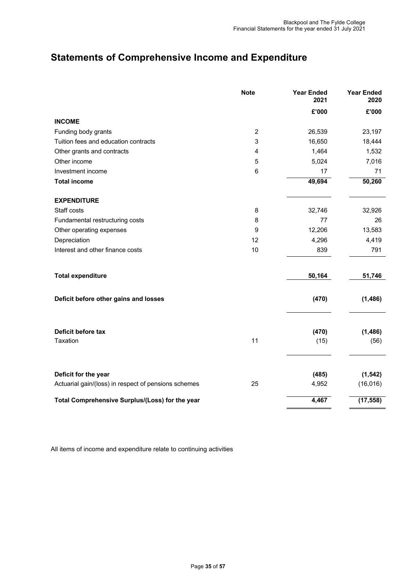## **Statements of Comprehensive Income and Expenditure**

|                                                                              | <b>Note</b>    | <b>Year Ended</b><br>2021 | <b>Year Ended</b><br>2020 |
|------------------------------------------------------------------------------|----------------|---------------------------|---------------------------|
|                                                                              |                | £'000                     | £'000                     |
| <b>INCOME</b>                                                                |                |                           |                           |
| Funding body grants                                                          | $\overline{2}$ | 26,539                    | 23,197                    |
| Tuition fees and education contracts                                         | 3              | 16,650                    | 18,444                    |
| Other grants and contracts                                                   | 4              | 1,464                     | 1,532                     |
| Other income                                                                 | 5              | 5,024                     | 7,016                     |
| Investment income                                                            | $6\phantom{1}$ | 17                        | 71                        |
| <b>Total income</b>                                                          |                | 49,694                    | 50,260                    |
| <b>EXPENDITURE</b>                                                           |                |                           |                           |
| Staff costs                                                                  | 8              | 32,746                    | 32,926                    |
| Fundamental restructuring costs                                              | 8              | 77                        | 26                        |
| Other operating expenses                                                     | 9              | 12,206                    | 13,583                    |
| Depreciation                                                                 | 12             | 4,296                     | 4,419                     |
| Interest and other finance costs                                             | 10             | 839                       | 791                       |
| <b>Total expenditure</b>                                                     |                | 50,164                    | 51,746                    |
| Deficit before other gains and losses                                        |                | (470)                     | (1, 486)                  |
| Deficit before tax<br>Taxation                                               | 11             | (470)<br>(15)             | (1, 486)<br>(56)          |
| Deficit for the year<br>Actuarial gain/(loss) in respect of pensions schemes | 25             | (485)<br>4,952            | (1, 542)<br>(16, 016)     |
| Total Comprehensive Surplus/(Loss) for the year                              |                | 4,467                     | (17, 558)                 |

All items of income and expenditure relate to continuing activities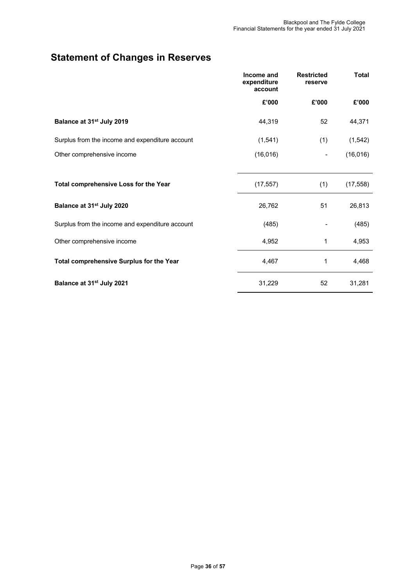## **Statement of Changes in Reserves**

|                                                 | Income and<br>expenditure<br>account | <b>Restricted</b><br>reserve | <b>Total</b> |
|-------------------------------------------------|--------------------------------------|------------------------------|--------------|
|                                                 | £'000                                | £'000                        | £'000        |
| Balance at 31 <sup>st</sup> July 2019           | 44,319                               | 52                           | 44,371       |
| Surplus from the income and expenditure account | (1,541)                              | (1)                          | (1, 542)     |
| Other comprehensive income                      | (16, 016)                            |                              | (16, 016)    |
| Total comprehensive Loss for the Year           | (17, 557)                            | (1)                          | (17, 558)    |
| Balance at 31 <sup>st</sup> July 2020           | 26,762                               | 51                           | 26,813       |
| Surplus from the income and expenditure account | (485)                                |                              | (485)        |
| Other comprehensive income                      | 4,952                                | 1                            | 4,953        |
| <b>Total comprehensive Surplus for the Year</b> | 4,467                                | 1                            | 4,468        |
| Balance at 31 <sup>st</sup> July 2021           | 31,229                               | 52                           | 31,281       |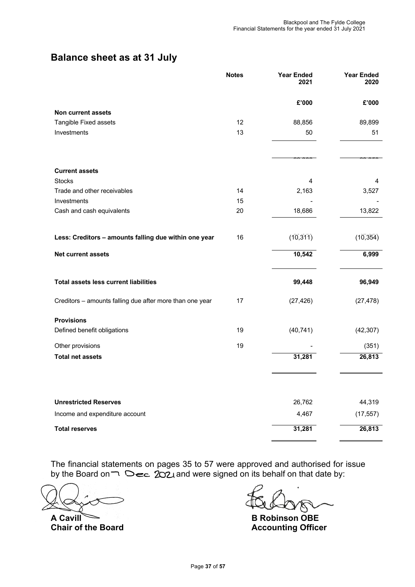## **Balance sheet as at 31 July**

|                                                          | <b>Notes</b> | <b>Year Ended</b><br>2021 | <b>Year Ended</b><br>2020 |
|----------------------------------------------------------|--------------|---------------------------|---------------------------|
|                                                          |              | £'000                     | £'000                     |
| Non current assets                                       |              |                           |                           |
| Tangible Fixed assets                                    | 12           | 88,856                    | 89,899                    |
| Investments                                              | 13           | 50                        | 51                        |
|                                                          |              | 88,906                    | 89,950                    |
| <b>Current assets</b>                                    |              |                           |                           |
| <b>Stocks</b>                                            |              | 4                         | 4                         |
| Trade and other receivables                              | 14           | 2,163                     | 3,527                     |
| Investments                                              | 15           |                           |                           |
| Cash and cash equivalents                                | 20           | 18,686                    | 13,822                    |
|                                                          |              | 吅                         | $\Box$                    |
| Less: Creditors - amounts falling due within one year    | 16           | $\Box$                    | $\Box$                    |
| <b>Net current assets</b>                                |              | 10,542                    | 6,999                     |
| <b>Total assets less current liabilities</b>             |              | 99,448                    | 96,949                    |
| Creditors - amounts falling due after more than one year | 17           | (27, 426)                 | (27, 478)                 |
| <b>Provisions</b>                                        |              |                           |                           |
| Defined benefit obligations                              | 19           | (40, 741)                 | (42, 307)                 |
| Other provisions                                         | 19           |                           | (351)                     |
| <b>Total net assets</b>                                  |              | 31,281                    | 26,813                    |
|                                                          |              |                           |                           |
| <b>Unrestricted Reserves</b>                             |              | 26,762                    | 44,319                    |
| Income and expenditure account                           |              | 4,467                     | (17, 557)                 |
| <b>Total reserves</b>                                    |              | 31,281                    | 26,813                    |

The financial statements on pages 35 to 57 were approved and authorised for issue by the Board on  $\Box$   $\triangle$   $\epsilon$  202 and were signed on its behalf on that date by:

**A Cavill B Robinson OBE Chair of the Board Chair Chair School Accounting Officer**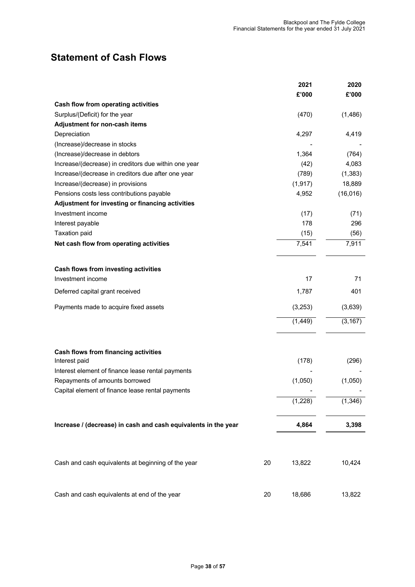## **Statement of Cash Flows**

|                                                                | 2021     | 2020      |
|----------------------------------------------------------------|----------|-----------|
|                                                                | £'000    | £'000     |
| <b>Cash flow from operating activities</b>                     |          |           |
| Surplus/(Deficit) for the year                                 | (470)    | (1,486)   |
| Adjustment for non-cash items                                  |          |           |
| Depreciation                                                   | 4,297    | 4,419     |
| (Increase)/decrease in stocks                                  |          |           |
| (Increase)/decrease in debtors                                 | 1,364    | (764)     |
| Increase/(decrease) in creditors due within one year           | (42)     | 4,083     |
| Increase/(decrease in creditors due after one year             | (789)    | (1, 383)  |
| Increase/(decrease) in provisions                              | (1, 917) | 18,889    |
| Pensions costs less contributions payable                      | 4,952    | (16, 016) |
| Adjustment for investing or financing activities               |          |           |
| Investment income                                              | (17)     | (71)      |
| Interest payable                                               | 178      | 296       |
| <b>Taxation paid</b>                                           | (15)     | (56)      |
| Net cash flow from operating activities                        | 7,541    | 7,911     |
|                                                                |          |           |
| Cash flows from investing activities                           |          |           |
| Investment income                                              | 17       | 71        |
| Deferred capital grant received                                | 1,787    | 401       |
| Payments made to acquire fixed assets                          | (3,253)  | (3,639)   |
|                                                                | (1, 449) | (3, 167)  |
| <b>Cash flows from financing activities</b>                    |          |           |
| Interest paid                                                  | (178)    | (296)     |
| Interest element of finance lease rental payments              |          |           |
| Repayments of amounts borrowed                                 | (1,050)  | (1,050)   |
| Capital element of finance lease rental payments               |          |           |
|                                                                | (1,228)  | (1, 346)  |
|                                                                |          |           |
| Increase / (decrease) in cash and cash equivalents in the year | 4,864    | 3,398     |
|                                                                |          |           |
| Cash and cash equivalents at beginning of the year<br>20       | 13,822   | 10,424    |
| Cash and cash equivalents at end of the year<br>20             | 18,686   | 13,822    |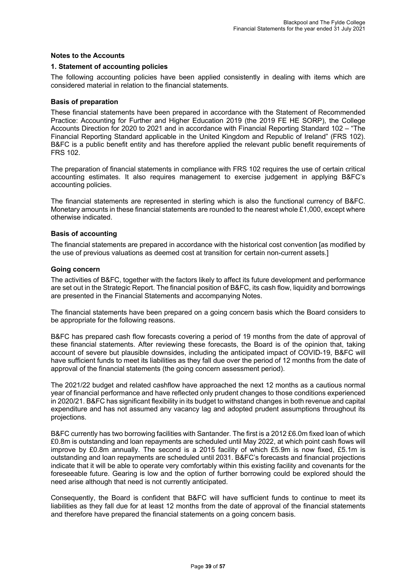#### **Notes to the Accounts**

#### **1. Statement of accounting policies**

The following accounting policies have been applied consistently in dealing with items which are considered material in relation to the financial statements.

#### **Basis of preparation**

These financial statements have been prepared in accordance with the Statement of Recommended Practice: Accounting for Further and Higher Education 2019 (the 2019 FE HE SORP), the College Accounts Direction for 2020 to 2021 and in accordance with Financial Reporting Standard 102 – "The Financial Reporting Standard applicable in the United Kingdom and Republic of Ireland" (FRS 102). B&FC is a public benefit entity and has therefore applied the relevant public benefit requirements of FRS 102.

The preparation of financial statements in compliance with FRS 102 requires the use of certain critical accounting estimates. It also requires management to exercise judgement in applying B&FC's accounting policies.

The financial statements are represented in sterling which is also the functional currency of B&FC. Monetary amounts in these financial statements are rounded to the nearest whole £1,000, except where otherwise indicated.

#### **Basis of accounting**

The financial statements are prepared in accordance with the historical cost convention [as modified by the use of previous valuations as deemed cost at transition for certain non-current assets.]

#### **Going concern**

The activities of B&FC, together with the factors likely to affect its future development and performance are set out in the Strategic Report. The financial position of B&FC, its cash flow, liquidity and borrowings are presented in the Financial Statements and accompanying Notes.

The financial statements have been prepared on a going concern basis which the Board considers to be appropriate for the following reasons.

B&FC has prepared cash flow forecasts covering a period of 19 months from the date of approval of these financial statements. After reviewing these forecasts, the Board is of the opinion that, taking account of severe but plausible downsides, including the anticipated impact of COVID-19, B&FC will have sufficient funds to meet its liabilities as they fall due over the period of 12 months from the date of approval of the financial statements (the going concern assessment period).

The 2021/22 budget and related cashflow have approached the next 12 months as a cautious normal year of financial performance and have reflected only prudent changes to those conditions experienced in 2020/21. B&FC has significant flexibility in its budget to withstand changes in both revenue and capital expenditure and has not assumed any vacancy lag and adopted prudent assumptions throughout its projections.

B&FC currently has two borrowing facilities with Santander. The first is a 2012 £6.0m fixed loan of which £0.8m is outstanding and loan repayments are scheduled until May 2022, at which point cash flows will improve by £0.8m annually. The second is a 2015 facility of which £5.9m is now fixed, £5.1m is outstanding and loan repayments are scheduled until 2031. B&FC's forecasts and financial projections indicate that it will be able to operate very comfortably within this existing facility and covenants for the foreseeable future. Gearing is low and the option of further borrowing could be explored should the need arise although that need is not currently anticipated.

Consequently, the Board is confident that B&FC will have sufficient funds to continue to meet its liabilities as they fall due for at least 12 months from the date of approval of the financial statements and therefore have prepared the financial statements on a going concern basis.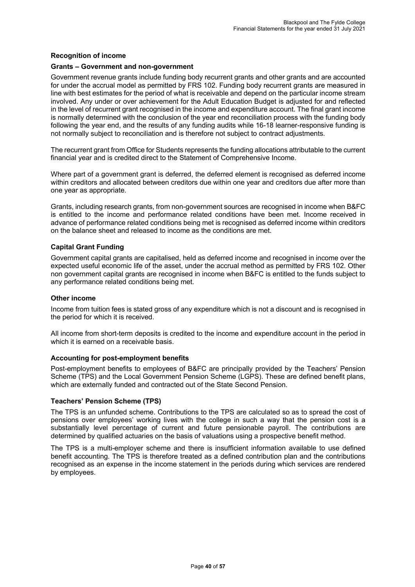#### **Recognition of income**

#### **Grants – Government and non-government**

Government revenue grants include funding body recurrent grants and other grants and are accounted for under the accrual model as permitted by FRS 102. Funding body recurrent grants are measured in line with best estimates for the period of what is receivable and depend on the particular income stream involved. Any under or over achievement for the Adult Education Budget is adjusted for and reflected in the level of recurrent grant recognised in the income and expenditure account. The final grant income is normally determined with the conclusion of the year end reconciliation process with the funding body following the year end, and the results of any funding audits while 16-18 learner-responsive funding is not normally subject to reconciliation and is therefore not subject to contract adjustments.

The recurrent grant from Office for Students represents the funding allocations attributable to the current financial year and is credited direct to the Statement of Comprehensive Income.

Where part of a government grant is deferred, the deferred element is recognised as deferred income within creditors and allocated between creditors due within one year and creditors due after more than one year as appropriate.

Grants, including research grants, from non-government sources are recognised in income when B&FC is entitled to the income and performance related conditions have been met. Income received in advance of performance related conditions being met is recognised as deferred income within creditors on the balance sheet and released to income as the conditions are met.

#### **Capital Grant Funding**

Government capital grants are capitalised, held as deferred income and recognised in income over the expected useful economic life of the asset, under the accrual method as permitted by FRS 102. Other non government capital grants are recognised in income when B&FC is entitled to the funds subject to any performance related conditions being met.

#### **Other income**

Income from tuition fees is stated gross of any expenditure which is not a discount and is recognised in the period for which it is received.

All income from short-term deposits is credited to the income and expenditure account in the period in which it is earned on a receivable basis.

#### **Accounting for post-employment benefits**

Post-employment benefits to employees of B&FC are principally provided by the Teachers' Pension Scheme (TPS) and the Local Government Pension Scheme (LGPS). These are defined benefit plans, which are externally funded and contracted out of the State Second Pension.

#### **Teachers' Pension Scheme (TPS)**

The TPS is an unfunded scheme. Contributions to the TPS are calculated so as to spread the cost of pensions over employees' working lives with the college in such a way that the pension cost is a substantially level percentage of current and future pensionable payroll. The contributions are determined by qualified actuaries on the basis of valuations using a prospective benefit method.

The TPS is a multi-employer scheme and there is insufficient information available to use defined benefit accounting. The TPS is therefore treated as a defined contribution plan and the contributions recognised as an expense in the income statement in the periods during which services are rendered by employees.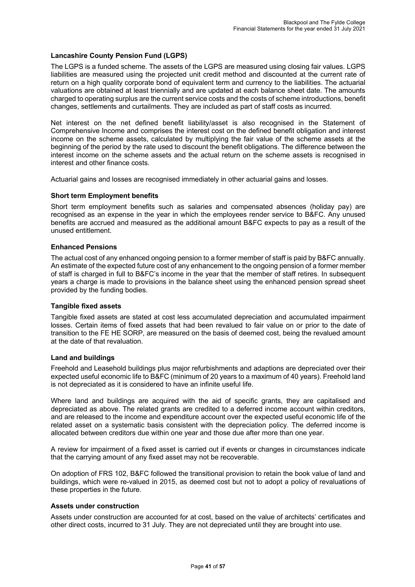#### **Lancashire County Pension Fund (LGPS)**

The LGPS is a funded scheme. The assets of the LGPS are measured using closing fair values. LGPS liabilities are measured using the projected unit credit method and discounted at the current rate of return on a high quality corporate bond of equivalent term and currency to the liabilities. The actuarial valuations are obtained at least triennially and are updated at each balance sheet date. The amounts charged to operating surplus are the current service costs and the costs of scheme introductions, benefit changes, settlements and curtailments. They are included as part of staff costs as incurred.

Net interest on the net defined benefit liability/asset is also recognised in the Statement of Comprehensive Income and comprises the interest cost on the defined benefit obligation and interest income on the scheme assets, calculated by multiplying the fair value of the scheme assets at the beginning of the period by the rate used to discount the benefit obligations. The difference between the interest income on the scheme assets and the actual return on the scheme assets is recognised in interest and other finance costs.

Actuarial gains and losses are recognised immediately in other actuarial gains and losses.

#### **Short term Employment benefits**

Short term employment benefits such as salaries and compensated absences (holiday pay) are recognised as an expense in the year in which the employees render service to B&FC. Any unused benefits are accrued and measured as the additional amount B&FC expects to pay as a result of the unused entitlement.

#### **Enhanced Pensions**

The actual cost of any enhanced ongoing pension to a former member of staff is paid by B&FC annually. An estimate of the expected future cost of any enhancement to the ongoing pension of a former member of staff is charged in full to B&FC's income in the year that the member of staff retires. In subsequent years a charge is made to provisions in the balance sheet using the enhanced pension spread sheet provided by the funding bodies.

#### **Tangible fixed assets**

Tangible fixed assets are stated at cost less accumulated depreciation and accumulated impairment losses. Certain items of fixed assets that had been revalued to fair value on or prior to the date of transition to the FE HE SORP, are measured on the basis of deemed cost, being the revalued amount at the date of that revaluation.

#### **Land and buildings**

Freehold and Leasehold buildings plus major refurbishments and adaptions are depreciated over their expected useful economic life to B&FC (minimum of 20 years to a maximum of 40 years). Freehold land is not depreciated as it is considered to have an infinite useful life.

Where land and buildings are acquired with the aid of specific grants, they are capitalised and depreciated as above. The related grants are credited to a deferred income account within creditors, and are released to the income and expenditure account over the expected useful economic life of the related asset on a systematic basis consistent with the depreciation policy. The deferred income is allocated between creditors due within one year and those due after more than one year.

A review for impairment of a fixed asset is carried out if events or changes in circumstances indicate that the carrying amount of any fixed asset may not be recoverable.

On adoption of FRS 102, B&FC followed the transitional provision to retain the book value of land and buildings, which were re-valued in 2015, as deemed cost but not to adopt a policy of revaluations of these properties in the future.

#### **Assets under construction**

Assets under construction are accounted for at cost, based on the value of architects' certificates and other direct costs, incurred to 31 July. They are not depreciated until they are brought into use.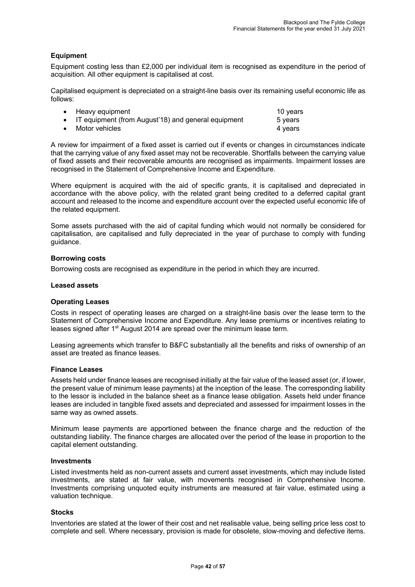#### **Equipment**

Equipment costing less than £2,000 per individual item is recognised as expenditure in the period of acquisition. All other equipment is capitalised at cost.

Capitalised equipment is depreciated on a straight-line basis over its remaining useful economic life as follows:

|           | • Heavy equipment                                     | 10 years |
|-----------|-------------------------------------------------------|----------|
|           | • IT equipment (from August'18) and general equipment | 5 years  |
| $\bullet$ | Motor vehicles                                        | 4 vears  |

A review for impairment of a fixed asset is carried out if events or changes in circumstances indicate that the carrying value of any fixed asset may not be recoverable. Shortfalls between the carrying value of fixed assets and their recoverable amounts are recognised as impairments. Impairment losses are recognised in the Statement of Comprehensive Income and Expenditure.

Where equipment is acquired with the aid of specific grants, it is capitalised and depreciated in accordance with the above policy, with the related grant being credited to a deferred capital grant account and released to the income and expenditure account over the expected useful economic life of the related equipment.

Some assets purchased with the aid of capital funding which would not normally be considered for capitalisation, are capitalised and fully depreciated in the year of purchase to comply with funding guidance.

#### **Borrowing costs**

Borrowing costs are recognised as expenditure in the period in which they are incurred.

#### **Leased assets**

#### **Operating Leases**

Costs in respect of operating leases are charged on a straight-line basis over the lease term to the Statement of Comprehensive Income and Expenditure. Any lease premiums or incentives relating to leases signed after 1<sup>st</sup> August 2014 are spread over the minimum lease term.

Leasing agreements which transfer to B&FC substantially all the benefits and risks of ownership of an asset are treated as finance leases.

#### **Finance Leases**

Assets held under finance leases are recognised initially at the fair value of the leased asset (or, if lower, the present value of minimum lease payments) at the inception of the lease. The corresponding liability to the lessor is included in the balance sheet as a finance lease obligation. Assets held under finance leases are included in tangible fixed assets and depreciated and assessed for impairment losses in the same way as owned assets.

Minimum lease payments are apportioned between the finance charge and the reduction of the outstanding liability. The finance charges are allocated over the period of the lease in proportion to the capital element outstanding.

#### **Investments**

Listed investments held as non-current assets and current asset investments, which may include listed investments, are stated at fair value, with movements recognised in Comprehensive Income. Investments comprising unquoted equity instruments are measured at fair value, estimated using a valuation technique.

#### **Stocks**

Inventories are stated at the lower of their cost and net realisable value, being selling price less cost to complete and sell. Where necessary, provision is made for obsolete, slow-moving and defective items.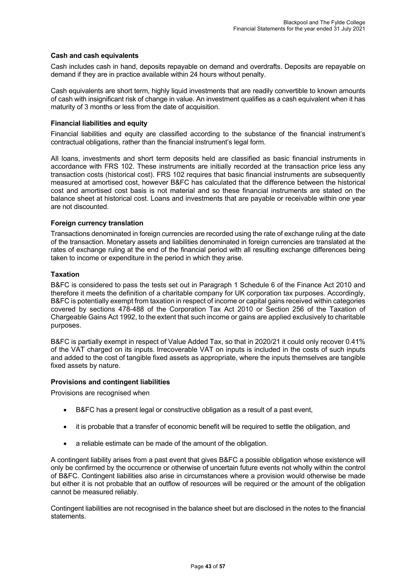#### **Cash and cash equivalents**

Cash includes cash in hand, deposits repayable on demand and overdrafts. Deposits are repayable on demand if they are in practice available within 24 hours without penalty.

Cash equivalents are short term, highly liquid investments that are readily convertible to known amounts of cash with insignificant risk of change in value. An investment qualifies as a cash equivalent when it has maturity of 3 months or less from the date of acquisition.

#### **Financial liabilities and equity**

Financial liabilities and equity are classified according to the substance of the financial instrument's contractual obligations, rather than the financial instrument's legal form.

All loans, investments and short term deposits held are classified as basic financial instruments in accordance with FRS 102. These instruments are initially recorded at the transaction price less any transaction costs (historical cost). FRS 102 requires that basic financial instruments are subsequently measured at amortised cost, however B&FC has calculated that the difference between the historical cost and amortised cost basis is not material and so these financial instruments are stated on the balance sheet at historical cost. Loans and investments that are payable or receivable within one year are not discounted.

#### **Foreign currency translation**

Transactions denominated in foreign currencies are recorded using the rate of exchange ruling at the date of the transaction. Monetary assets and liabilities denominated in foreign currencies are translated at the rates of exchange ruling at the end of the financial period with all resulting exchange differences being taken to income or expenditure in the period in which they arise.

#### **Taxation**

B&FC is considered to pass the tests set out in Paragraph 1 Schedule 6 of the Finance Act 2010 and therefore it meets the definition of a charitable company for UK corporation tax purposes. Accordingly, B&FC is potentially exempt from taxation in respect of income or capital gains received within categories covered by sections 478-488 of the Corporation Tax Act 2010 or Section 256 of the Taxation of Chargeable Gains Act 1992, to the extent that such income or gains are applied exclusively to charitable purposes.

B&FC is partially exempt in respect of Value Added Tax, so that in 2020/21 it could only recover 0.41% of the VAT charged on its inputs. Irrecoverable VAT on inputs is included in the costs of such inputs and added to the cost of tangible fixed assets as appropriate, where the inputs themselves are tangible fixed assets by nature.

#### **Provisions and contingent liabilities**

Provisions are recognised when

- B&FC has a present legal or constructive obligation as a result of a past event,
- it is probable that a transfer of economic benefit will be required to settle the obligation, and
- a reliable estimate can be made of the amount of the obligation.

A contingent liability arises from a past event that gives B&FC a possible obligation whose existence will only be confirmed by the occurrence or otherwise of uncertain future events not wholly within the control of B&FC. Contingent liabilities also arise in circumstances where a provision would otherwise be made but either it is not probable that an outflow of resources will be required or the amount of the obligation cannot be measured reliably.

Contingent liabilities are not recognised in the balance sheet but are disclosed in the notes to the financial statements.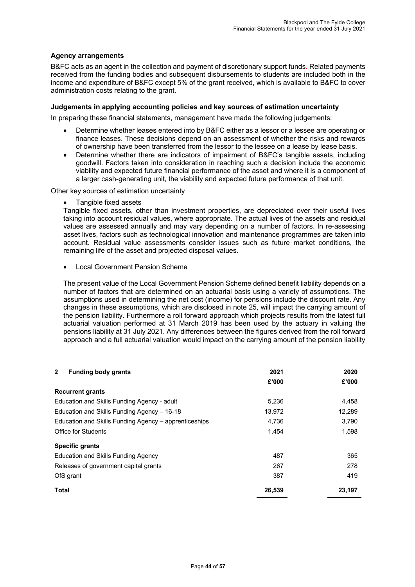#### **Agency arrangements**

B&FC acts as an agent in the collection and payment of discretionary support funds. Related payments received from the funding bodies and subsequent disbursements to students are included both in the income and expenditure of B&FC except 5% of the grant received, which is available to B&FC to cover administration costs relating to the grant.

#### **Judgements in applying accounting policies and key sources of estimation uncertainty**

In preparing these financial statements, management have made the following judgements:

- Determine whether leases entered into by B&FC either as a lessor or a lessee are operating or finance leases. These decisions depend on an assessment of whether the risks and rewards of ownership have been transferred from the lessor to the lessee on a lease by lease basis.
- Determine whether there are indicators of impairment of B&FC's tangible assets, including goodwill. Factors taken into consideration in reaching such a decision include the economic viability and expected future financial performance of the asset and where it is a component of a larger cash-generating unit, the viability and expected future performance of that unit.

Other key sources of estimation uncertainty

• Tangible fixed assets

Tangible fixed assets, other than investment properties, are depreciated over their useful lives taking into account residual values, where appropriate. The actual lives of the assets and residual values are assessed annually and may vary depending on a number of factors. In re-assessing asset lives, factors such as technological innovation and maintenance programmes are taken into account. Residual value assessments consider issues such as future market conditions, the remaining life of the asset and projected disposal values.

• Local Government Pension Scheme

The present value of the Local Government Pension Scheme defined benefit liability depends on a number of factors that are determined on an actuarial basis using a variety of assumptions. The assumptions used in determining the net cost (income) for pensions include the discount rate. Any changes in these assumptions, which are disclosed in note 25, will impact the carrying amount of the pension liability. Furthermore a roll forward approach which projects results from the latest full actuarial valuation performed at 31 March 2019 has been used by the actuary in valuing the pensions liability at 31 July 2021. Any differences between the figures derived from the roll forward approach and a full actuarial valuation would impact on the carrying amount of the pension liability

| $\mathbf{2}$<br><b>Funding body grants</b>            | 2021   | 2020   |
|-------------------------------------------------------|--------|--------|
|                                                       | £'000  | £'000  |
| <b>Recurrent grants</b>                               |        |        |
| Education and Skills Funding Agency - adult           | 5,236  | 4,458  |
| Education and Skills Funding Agency - 16-18           | 13,972 | 12,289 |
| Education and Skills Funding Agency - apprenticeships | 4.736  | 3,790  |
| <b>Office for Students</b>                            | 1,454  | 1,598  |
| <b>Specific grants</b>                                |        |        |
| Education and Skills Funding Agency                   | 487    | 365    |
| Releases of government capital grants                 | 267    | 278    |
| OfS grant                                             | 387    | 419    |
| <b>Total</b>                                          | 26,539 | 23,197 |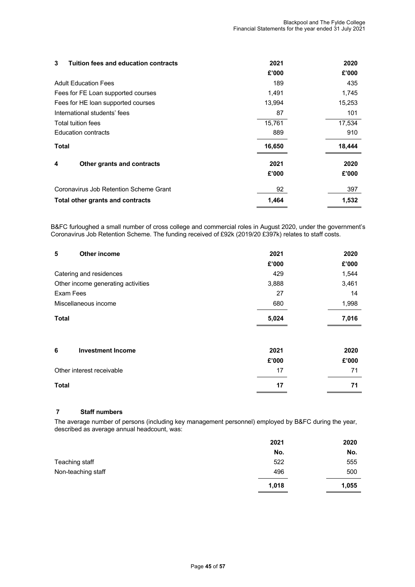| Tuition fees and education contracts<br>3 | 2021   | 2020   |
|-------------------------------------------|--------|--------|
|                                           | £'000  | £'000  |
| <b>Adult Education Fees</b>               | 189    | 435    |
| Fees for FE Loan supported courses        | 1,491  | 1,745  |
| Fees for HE loan supported courses        | 13,994 | 15,253 |
| International students' fees              | 87     | 101    |
| Total tuition fees                        | 15,761 | 17,534 |
| <b>Education contracts</b>                | 889    | 910    |
| <b>Total</b>                              | 16,650 | 18,444 |
| 4<br>Other grants and contracts           | 2021   | 2020   |
|                                           | £'000  | £'000  |
| Coronavirus Job Retention Scheme Grant    | 92     | 397    |
| Total other grants and contracts          | 1,464  | 1,532  |

B&FC furloughed a small number of cross college and commercial roles in August 2020, under the government's Coronavirus Job Retention Scheme. The funding received of £92k (2019/20 £397k) relates to staff costs.

| 5<br><b>Other income</b>           | 2021  | 2020  |
|------------------------------------|-------|-------|
|                                    | £'000 | £'000 |
| Catering and residences            | 429   | 1,544 |
| Other income generating activities | 3,888 | 3,461 |
| Exam Fees                          | 27    | 14    |
| Miscellaneous income               | 680   | 1,998 |
| <b>Total</b>                       | 5,024 | 7,016 |
|                                    |       |       |
| 6<br><b>Investment Income</b>      | 2021  | 2020  |
|                                    | £'000 | £'000 |
| Other interest receivable          | 17    | 71    |
| <b>Total</b>                       | 17    | 71    |

#### **7 Staff numbers**

The average number of persons (including key management personnel) employed by B&FC during the year, described as average annual headcount, was:

|                    | 2021  | 2020  |
|--------------------|-------|-------|
|                    | No.   | No.   |
| Teaching staff     | 522   | 555   |
| Non-teaching staff | 496   | 500   |
|                    | 1,018 | 1,055 |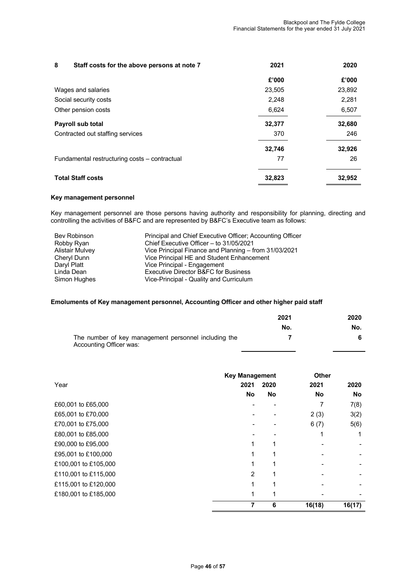| 8<br>Staff costs for the above persons at note 7 | 2021   | 2020   |
|--------------------------------------------------|--------|--------|
|                                                  | £'000  | £'000  |
| Wages and salaries                               | 23,505 | 23,892 |
| Social security costs                            | 2.248  | 2.281  |
| Other pension costs                              | 6,624  | 6,507  |
| <b>Payroll sub total</b>                         | 32,377 | 32,680 |
| Contracted out staffing services                 | 370    | 246    |
|                                                  | 32,746 | 32,926 |
| Fundamental restructuring costs - contractual    | 77     | 26     |
| <b>Total Staff costs</b>                         | 32,823 | 32,952 |

#### **Key management personnel**

Key management personnel are those persons having authority and responsibility for planning, directing and controlling the activities of B&FC and are represented by B&FC's Executive team as follows:

| <b>Bev Robinson</b>    | Principal and Chief Executive Officer; Accounting Officer |
|------------------------|-----------------------------------------------------------|
| Robby Ryan             | Chief Executive Officer - to 31/05/2021                   |
| <b>Alistair Mulvey</b> | Vice Principal Finance and Planning – from 31/03/2021     |
| Cheryl Dunn            | Vice Principal HE and Student Enhancement                 |
| Daryl Platt            | Vice Principal - Engagement                               |
| Linda Dean             | Executive Director B&FC for Business                      |
| Simon Hughes           | Vice-Principal - Quality and Curriculum                   |

#### **Emoluments of Key management personnel, Accounting Officer and other higher paid staff**

|                                                                                 | 2021 | 2020 |
|---------------------------------------------------------------------------------|------|------|
|                                                                                 | No.  | No.  |
| The number of key management personnel including the<br>Accounting Officer was: |      |      |

|                      | <b>Key Management</b> |      | <b>Other</b> |        |
|----------------------|-----------------------|------|--------------|--------|
| Year                 | 2021                  | 2020 | 2021         | 2020   |
|                      | No                    | No   | No           | No     |
| £60,001 to £65,000   |                       |      | 7            | 7(8)   |
| £65,001 to £70,000   |                       |      | 2(3)         | 3(2)   |
| £70,001 to £75,000   |                       |      | 6(7)         | 5(6)   |
| £80,001 to £85,000   |                       |      | 1            |        |
| £90,000 to £95,000   |                       |      |              |        |
| £95,001 to £100,000  |                       |      |              |        |
| £100,001 to £105,000 |                       |      |              |        |
| £110,001 to £115,000 | 2                     |      |              |        |
| £115,001 to £120,000 |                       |      |              |        |
| £180,001 to £185,000 |                       |      |              |        |
|                      | 7                     | 6    | 16(18)       | 16(17) |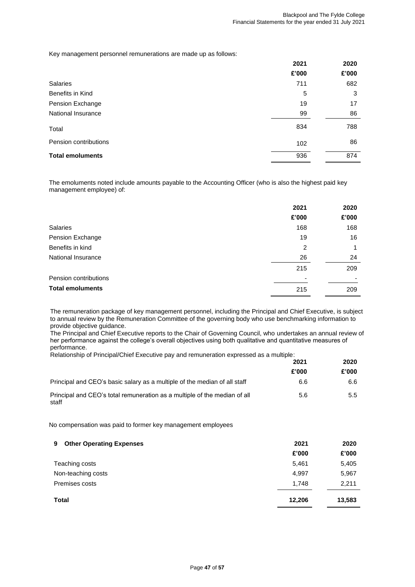Key management personnel remunerations are made up as follows:

|                         | 2021  | 2020  |
|-------------------------|-------|-------|
|                         | £'000 | £'000 |
| Salaries                | 711   | 682   |
| Benefits in Kind        | 5     | 3     |
| Pension Exchange        | 19    | 17    |
| National Insurance      | 99    | 86    |
| Total                   | 834   | 788   |
| Pension contributions   | 102   | 86    |
| <b>Total emoluments</b> | 936   | 874   |
|                         |       |       |

The emoluments noted include amounts payable to the Accounting Officer (who is also the highest paid key management employee) of:

|                         | 2021           | 2020  |
|-------------------------|----------------|-------|
|                         | £'000          | £'000 |
| <b>Salaries</b>         | 168            | 168   |
| Pension Exchange        | 19             | 16    |
| Benefits in kind        | $\overline{2}$ | 1     |
| National Insurance      | 26             | 24    |
|                         | 215            | 209   |
| Pension contributions   |                |       |
| <b>Total emoluments</b> | 215            | 209   |

The remuneration package of key management personnel, including the Principal and Chief Executive, is subject to annual review by the Remuneration Committee of the governing body who use benchmarking information to provide objective guidance.

The Principal and Chief Executive reports to the Chair of Governing Council, who undertakes an annual review of her performance against the college's overall objectives using both qualitative and quantitative measures of performance.

|  |  |  | Relationship of Principal/Chief Executive pay and remuneration expressed as a multiple: |  |  |
|--|--|--|-----------------------------------------------------------------------------------------|--|--|
|  |  |  |                                                                                         |  |  |
|  |  |  |                                                                                         |  |  |

|                                                                                    | 2021  | 2020          |  |
|------------------------------------------------------------------------------------|-------|---------------|--|
|                                                                                    | £'000 | £'000         |  |
| Principal and CEO's basic salary as a multiple of the median of all staff          | 6.6   | 6.6           |  |
| Principal and CEO's total remuneration as a multiple of the median of all<br>staff | 5.6   | $5.5^{\circ}$ |  |

No compensation was paid to former key management employees

| <b>Other Operating Expenses</b><br>9. | 2021   | 2020   |
|---------------------------------------|--------|--------|
|                                       | £'000  | £'000  |
| Teaching costs                        | 5,461  | 5,405  |
| Non-teaching costs                    | 4,997  | 5,967  |
| Premises costs                        | 1,748  | 2,211  |
| <b>Total</b>                          | 12,206 | 13,583 |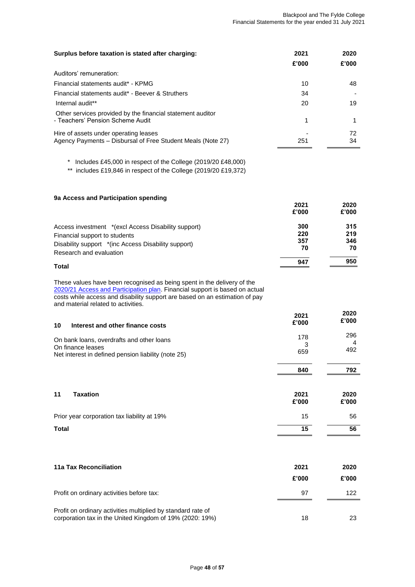| Surplus before taxation is stated after charging:                                                    | 2021  | 2020      |
|------------------------------------------------------------------------------------------------------|-------|-----------|
|                                                                                                      | £'000 | £'000     |
| Auditors' remuneration:                                                                              |       |           |
| Financial statements audit* - KPMG                                                                   | 10    | 48.       |
| Financial statements audit* - Beever & Struthers                                                     | 34    |           |
| Internal audit**                                                                                     | 20    | 19        |
| Other services provided by the financial statement auditor<br>- Teachers' Pension Scheme Audit       |       |           |
| Hire of assets under operating leases<br>Agency Payments – Disbursal of Free Student Meals (Note 27) | 251   | 72.<br>34 |

\* Includes £45,000 in respect of the College (2019/20 £48,000)

\*\* includes £19,846 in respect of the College (2019/20 £19,372)

| 9a Access and Participation spending                |       |       |
|-----------------------------------------------------|-------|-------|
|                                                     | 2021  | 2020  |
|                                                     | £'000 | £'000 |
| Access investment *(excl Access Disability support) | 300   | 315   |
| Financial support to students                       | 220   | 219   |
| Disability support */inc Access Disability support) | 357   | 346   |
| Research and evaluation                             | 70    | 70    |
|                                                     | 947   | 950   |

#### **Total**

These values have been recognised as being spent in the delivery of the [2020/21 Access and Participation plan.](https://www.blackpool.ac.uk/access-participation-plan#:~:text=Colleges%20offering%20higher%20education%20must,and%20milestones%20for%20widening%20participation.&text=Plan%202019%2D2020-,Blackpool%20and%20The%20Fylde%20College) Financial support is based on actual costs while access and disability support are based on an estimation of pay and material related to activities.

| 10<br>Interest and other finance costs                                                                                | 2021<br>£'000   | 2020<br>£'000 |
|-----------------------------------------------------------------------------------------------------------------------|-----------------|---------------|
| On bank loans, overdrafts and other loans<br>On finance leases<br>Net interest in defined pension liability (note 25) | 178<br>3<br>659 | 296<br>492    |
|                                                                                                                       | 840             | 792           |

| 11<br><b>Taxation</b>                       | 2021<br>£'000 | 2020<br>£'000 |
|---------------------------------------------|---------------|---------------|
| Prior year corporation tax liability at 19% | 15            | 56            |
| <b>Total</b>                                | 15            | 56            |

| 11a Tax Reconciliation                                                                                                   | 2021<br>£'000 | 2020<br>£'000 |
|--------------------------------------------------------------------------------------------------------------------------|---------------|---------------|
| Profit on ordinary activities before tax:                                                                                | 97            | 122           |
| Profit on ordinary activities multiplied by standard rate of<br>corporation tax in the United Kingdom of 19% (2020: 19%) | 18            |               |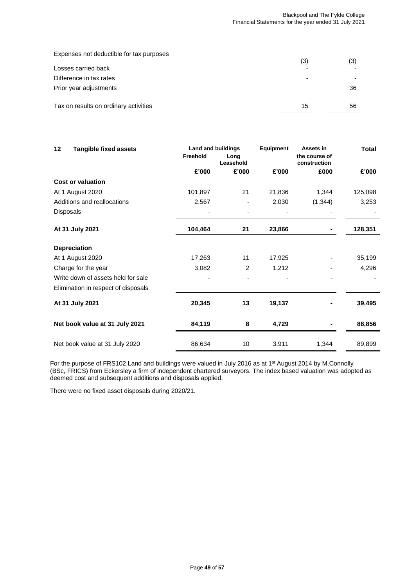| Expenses not deductible for tax purposes | (3) | (3) |
|------------------------------------------|-----|-----|
| Losses carried back                      |     |     |
| Difference in tax rates                  |     |     |
| Prior year adjustments                   |     | 36  |
| Tax on results on ordinary activities    | 15  | 56  |

| 12 | <b>Tangible fixed assets</b>        | <b>Land and buildings</b> |                   | Equipment | Assets in                     | <b>Total</b> |
|----|-------------------------------------|---------------------------|-------------------|-----------|-------------------------------|--------------|
|    |                                     | Freehold                  | Long<br>Leasehold |           | the course of<br>construction |              |
|    |                                     | £'000                     | £'000             | £'000     | £000                          | £'000        |
|    | <b>Cost or valuation</b>            |                           |                   |           |                               |              |
|    | At 1 August 2020                    | 101,897                   | 21                | 21,836    | 1,344                         | 125,098      |
|    | Additions and reallocations         | 2,567                     |                   | 2,030     | (1, 344)                      | 3,253        |
|    | Disposals                           |                           |                   |           |                               |              |
|    | At 31 July 2021                     | 104,464                   | 21                | 23,866    |                               | 128,351      |
|    | <b>Depreciation</b>                 |                           |                   |           |                               |              |
|    | At 1 August 2020                    | 17,263                    | 11                | 17,925    |                               | 35,199       |
|    | Charge for the year                 | 3,082                     | $\overline{2}$    | 1,212     |                               | 4,296        |
|    | Write down of assets held for sale  |                           |                   |           |                               |              |
|    | Elimination in respect of disposals |                           |                   |           |                               |              |
|    | At 31 July 2021                     | 20,345                    | 13                | 19,137    |                               | 39,495       |
|    | Net book value at 31 July 2021      | 84,119                    | 8                 | 4,729     |                               | 88,856       |
|    | Net book value at 31 July 2020      | 86,634                    | 10                | 3,911     | 1,344                         | 89,899       |

For the purpose of FRS102 Land and buildings were valued in July 2016 as at 1<sup>st</sup> August 2014 by M.Connolly (BSc, FRICS) from Eckersley a firm of independent chartered surveyors. The index based valuation was adopted as deemed cost and subsequent additions and disposals applied.

There were no fixed asset disposals during 2020/21.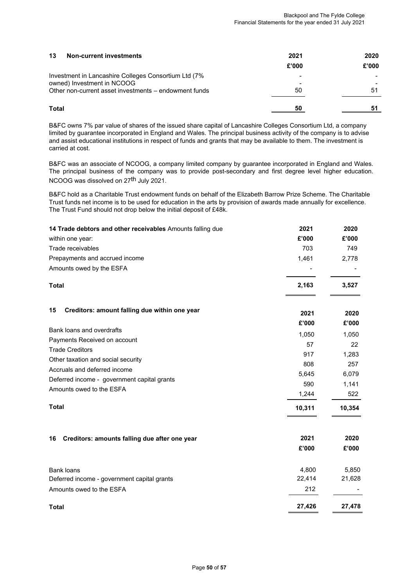| 13<br><b>Non-current investments</b>                                                | 2021  | 2020  |
|-------------------------------------------------------------------------------------|-------|-------|
|                                                                                     | £'000 | £'000 |
| Investment in Lancashire Colleges Consortium Ltd (7%                                |       |       |
| owned) Investment in NCOOG<br>Other non-current asset investments – endowment funds | 50    | 51    |
|                                                                                     |       |       |
| Total                                                                               | 50    |       |

B&FC owns 7% par value of shares of the issued share capital of Lancashire Colleges Consortium Ltd, a company limited by guarantee incorporated in England and Wales. The principal business activity of the company is to advise and assist educational institutions in respect of funds and grants that may be available to them. The investment is carried at cost.

B&FC was an associate of NCOOG, a company limited company by guarantee incorporated in England and Wales. The principal business of the company was to provide post-secondary and first degree level higher education. NCOOG was dissolved on 27<sup>th</sup> July 2021.

B&FC hold as a Charitable Trust endowment funds on behalf of the Elizabeth Barrow Prize Scheme. The Charitable Trust funds net income is to be used for education in the arts by provision of awards made annually for excellence. The Trust Fund should not drop below the initial deposit of £48k.

| 14 Trade debtors and other receivables Amounts falling due | 2021   | 2020   |
|------------------------------------------------------------|--------|--------|
| within one year:                                           | £'000  | £'000  |
| Trade receivables                                          | 703    | 749    |
| Prepayments and accrued income                             | 1,461  | 2,778  |
| Amounts owed by the ESFA                                   |        |        |
| Total                                                      | 2,163  | 3,527  |
| 15<br>Creditors: amount falling due within one year        | 2021   | 2020   |
| Bank loans and overdrafts                                  | £'000  | £'000  |
| Payments Received on account                               | 1,050  | 1,050  |
| <b>Trade Creditors</b>                                     | 57     | 22     |
| Other taxation and social security                         | 917    | 1,283  |
| Accruals and deferred income                               | 808    | 257    |
| Deferred income - government capital grants                | 5,645  | 6,079  |
| Amounts owed to the ESFA                                   | 590    | 1,141  |
|                                                            | 1,244  | 522    |
| <b>Total</b>                                               | 10,311 | 10,354 |
| Creditors: amounts falling due after one year<br>16        | 2021   | 2020   |
|                                                            | £'000  | £'000  |
| <b>Bank loans</b>                                          | 4,800  | 5,850  |
| Deferred income - government capital grants                | 22,414 | 21,628 |
| Amounts owed to the ESFA                                   | 212    |        |
| Total                                                      | 27,426 | 27,478 |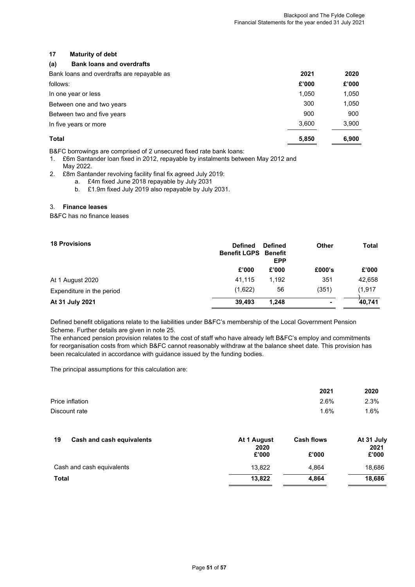#### **17 Maturity of debt**

#### **(a) Bank loans and overdrafts**

| Bank loans and overdrafts are repayable as | 2021  | 2020  |
|--------------------------------------------|-------|-------|
| follows:                                   | £'000 | £'000 |
| In one year or less                        | 1,050 | 1,050 |
| Between one and two years                  | 300   | 1,050 |
| Between two and five years                 | 900   | 900   |
| In five years or more                      | 3.600 | 3,900 |
| Total                                      | 5,850 | 6,900 |

B&FC borrowings are comprised of 2 unsecured fixed rate bank loans:

- 1. £6m Santander loan fixed in 2012, repayable by instalments between May 2012 and May 2022.
- 2. £8m Santander revolving facility final fix agreed July 2019:
	- a. £4m fixed June 2018 repayable by July 2031
	- b. £1.9m fixed July 2019 also repayable by July 2031.

#### 3. **Finance leases**

B&FC has no finance leases

| <b>Defined</b> | <b>Defined</b><br>Benefit<br><b>EPP</b> | <b>Other</b>        | <b>Total</b> |
|----------------|-----------------------------------------|---------------------|--------------|
| £'000          | £'000                                   | £000's              | £'000        |
| 41,115         | 1.192                                   | 351                 | 42,658       |
| (1,622)        | 56                                      | (351)               | (1, 917)     |
| 39.493         | 1.248                                   |                     | 40.741       |
|                |                                         | <b>Benefit LGPS</b> |              |

Defined benefit obligations relate to the liabilities under B&FC's membership of the Local Government Pension Scheme. Further details are given in note 25.

The enhanced pension provision relates to the cost of staff who have already left B&FC's employ and commitments for reorganisation costs from which B&FC cannot reasonably withdraw at the balance sheet date. This provision has been recalculated in accordance with guidance issued by the funding bodies.

The principal assumptions for this calculation are:

|                 | 2021 | 2020 |
|-----------------|------|------|
| Price inflation | 2.6% | 2.3% |
| Discount rate   | 1.6% | 1.6% |

| 19<br>Cash and cash equivalents | At 1 August<br>2020 | <b>Cash flows</b> | At 31 July<br>2021 |
|---------------------------------|---------------------|-------------------|--------------------|
|                                 | £'000               | £'000             | £'000              |
| Cash and cash equivalents       | 13.822              | 4.864             | 18,686             |
| <b>Total</b>                    | 13.822              | 4.864             | 18.686             |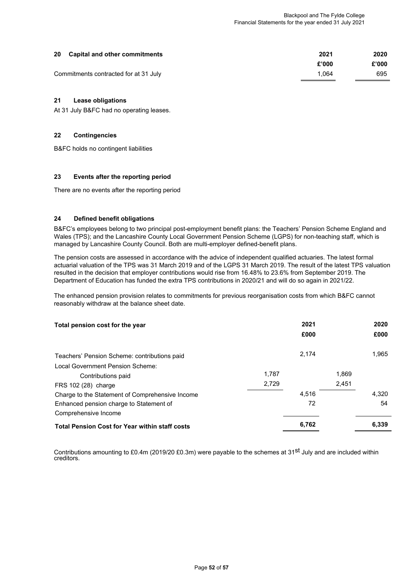| 20 | <b>Capital and other commitments</b>  | 2021  | 2020  |
|----|---------------------------------------|-------|-------|
|    |                                       | £'000 | £'000 |
|    | Commitments contracted for at 31 July | 1.064 | 695   |

#### **21 Lease obligations**

At 31 July B&FC had no operating leases.

#### **22 Contingencies**

B&FC holds no contingent liabilities

#### **23 Events after the reporting period**

There are no events after the reporting period

#### **24 Defined benefit obligations**

B&FC's employees belong to two principal post-employment benefit plans: the Teachers' Pension Scheme England and Wales (TPS); and the Lancashire County Local Government Pension Scheme (LGPS) for non-teaching staff, which is managed by Lancashire County Council. Both are multi-employer defined-benefit plans.

The pension costs are assessed in accordance with the advice of independent qualified actuaries. The latest formal actuarial valuation of the TPS was 31 March 2019 and of the LGPS 31 March 2019. The result of the latest TPS valuation resulted in the decision that employer contributions would rise from 16.48% to 23.6% from September 2019. The Department of Education has funded the extra TPS contributions in 2020/21 and will do so again in 2021/22.

The enhanced pension provision relates to commitments for previous reorganisation costs from which B&FC cannot reasonably withdraw at the balance sheet date.

| Total pension cost for the year                       |       | 2021<br>£000 |       | 2020<br>£000 |
|-------------------------------------------------------|-------|--------------|-------|--------------|
| Teachers' Pension Scheme: contributions paid          |       | 2.174        |       | 1.965        |
| Local Government Pension Scheme:                      |       |              |       |              |
| Contributions paid                                    | 1.787 |              | 1.869 |              |
| FRS 102 (28) charge                                   | 2,729 |              | 2,451 |              |
| Charge to the Statement of Comprehensive Income       |       | 4.516        |       | 4.320        |
| Enhanced pension charge to Statement of               |       | 72           |       | 54           |
| Comprehensive Income                                  |       |              |       |              |
| <b>Total Pension Cost for Year within staff costs</b> |       | 6,762        |       | 6,339        |
|                                                       |       |              |       |              |

Contributions amounting to £0.4m (2019/20 £0.3m) were payable to the schemes at 31<sup>st</sup> July and are included within creditors.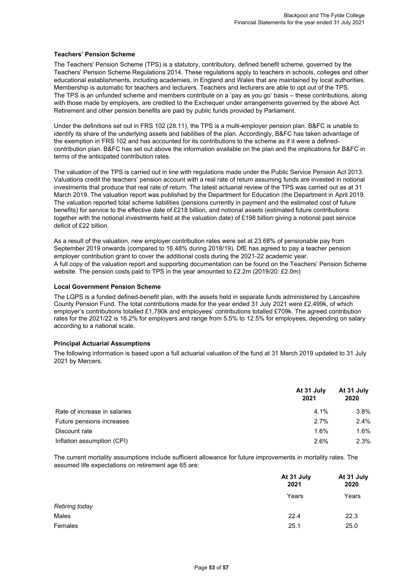#### **Teachers' Pension Scheme**

The Teachers' Pension Scheme (TPS) is a statutory, contributory, defined benefit scheme, governed by the Teachers' Pension Scheme Regulations 2014. These regulations apply to teachers in schools, colleges and other educational establishments, including academies, in England and Wales that are maintained by local authorities. Membership is automatic for teachers and lecturers. Teachers and lecturers are able to opt out of the TPS. The TPS is an unfunded scheme and members contribute on a 'pay as you go' basis – these contributions, along with those made by employers, are credited to the Exchequer under arrangements governed by the above Act. Retirement and other pension benefits are paid by public funds provided by Parliament.

Under the definitions set out in FRS 102 (28.11), the TPS is a multi-employer pension plan. B&FC is unable to identify its share of the underlying assets and liabilities of the plan. Accordingly, B&FC has taken advantage of the exemption in FRS 102 and has accounted for its contributions to the scheme as if it were a definedcontribution plan. B&FC has set out above the information available on the plan and the implications for B&FC in terms of the anticipated contribution rates.

The valuation of the TPS is carried out in line with regulations made under the Public Service Pension Act 2013. Valuations credit the teachers' pension account with a real rate of return assuming funds are invested in notional investments that produce that real rate of return. The latest actuarial review of the TPS was carried out as at 31 March 2019. The valuation report was published by the Department for Education (the Department in April 2019. The valuation reported total scheme liabilities (pensions currently in payment and the estimated cost of future benefits) for service to the effective date of £218 billion, and notional assets (estimated future contributions together with the notional investments held at the valuation date) of £198 billion giving a notional past service deficit of £22 billion.

As a result of the valuation, new employer contribution rates were set at 23.68% of pensionable pay from September 2019 onwards (compared to 16.48% during 2018/19). DfE has agreed to pay a teacher pension employer contribution grant to cover the additional costs during the 2021-22 academic year. A full copy of the valuation report and supporting documentation can be found on the Teachers' Pension Scheme website. The pension costs paid to TPS in the year amounted to £2.2m (2019/20: £2.0m)

#### **Local Government Pension Scheme**

The LGPS is a funded defined-benefit plan, with the assets held in separate funds administered by Lancashire County Pension Fund. The total contributions made for the year ended 31 July 2021 were £2,499k, of which employer's contributions totalled £1,790k and employees' contributions totalled £709k. The agreed contribution rates for the 2021/22 is 16.2% for employers and range from 5.5% to 12.5% for employees, depending on salary according to a national scale.

#### **Principal Actuarial Assumptions**

The following information is based upon a full actuarial valuation of the fund at 31 March 2019 updated to 31 July 2021 by Mercers.

|                              | At 31 July<br>2021 | At 31 July<br>2020 |
|------------------------------|--------------------|--------------------|
| Rate of increase in salaries | 4.1%               | 3.8%               |
| Future pensions increases    | 2.7%               | 2.4%               |
| Discount rate                | 1.6%               | 1.6%               |
| Inflation assumption (CPI)   | 2.6%               | 2.3%               |

The current mortality assumptions include sufficient allowance for future improvements in mortality rates. The assumed life expectations on retirement age 65 are:

|                | At 31 July<br>2021 | At 31 July<br>2020 |
|----------------|--------------------|--------------------|
|                | Years              | Years              |
| Retiring today |                    |                    |
| Males          | 22.4               | 22.3               |
| Females        | 25.1               | 25.0               |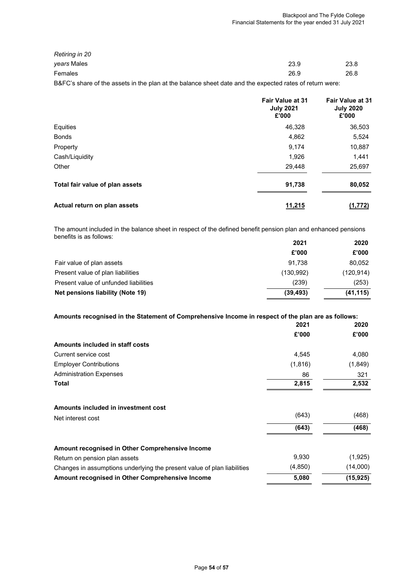| Retiring in 20                                                                                          |      |      |
|---------------------------------------------------------------------------------------------------------|------|------|
| <i>vears</i> Males                                                                                      | 23.9 | 23.8 |
| Females                                                                                                 | 26.9 | 26.8 |
| B&FC's share of the assets in the plan at the balance sheet date and the expected rates of return were: |      |      |

|                                 | <b>Fair Value at 31</b><br><b>July 2021</b><br>£'000 | <b>Fair Value at 31</b><br><b>July 2020</b><br>£'000 |
|---------------------------------|------------------------------------------------------|------------------------------------------------------|
| Equities                        | 46,328                                               | 36,503                                               |
| <b>Bonds</b>                    | 4,862                                                | 5,524                                                |
| Property                        | 9,174                                                | 10,887                                               |
| Cash/Liquidity                  | 1,926                                                | 1,441                                                |
| Other                           | 29,448                                               | 25,697                                               |
| Total fair value of plan assets | 91,738                                               | 80,052                                               |
| Actual return on plan assets    | 11,215                                               | (1,772)                                              |

The amount included in the balance sheet in respect of the defined benefit pension plan and enhanced pensions benefits is as follows:

|                                       | 2021      | 2020       |
|---------------------------------------|-----------|------------|
|                                       | £'000     | £'000      |
| Fair value of plan assets             | 91.738    | 80,052     |
| Present value of plan liabilities     | (130.992) | (120, 914) |
| Present value of unfunded liabilities | (239)     | (253)      |
| Net pensions liability (Note 19)      | (39, 493) | (41, 115)  |

#### **Amounts recognised in the Statement of Comprehensive Income in respect of the plan are as follows:**

|                                                                         | 2021     | 2020     |
|-------------------------------------------------------------------------|----------|----------|
|                                                                         | £'000    | £'000    |
| Amounts included in staff costs                                         |          |          |
| Current service cost                                                    | 4,545    | 4,080    |
| <b>Employer Contributions</b>                                           | (1, 816) | (1,849)  |
| <b>Administration Expenses</b>                                          | 86       | 321      |
| Total                                                                   | 2,815    | 2,532    |
| Amounts included in investment cost                                     |          |          |
| Net interest cost                                                       | (643)    | (468)    |
|                                                                         | (643)    | (468)    |
| Amount recognised in Other Comprehensive Income                         |          |          |
| Return on pension plan assets                                           | 9,930    | (1,925)  |
| Changes in assumptions underlying the present value of plan liabilities | (4, 850) | (14,000) |
| Amount recognised in Other Comprehensive Income                         | 5,080    | (15,925) |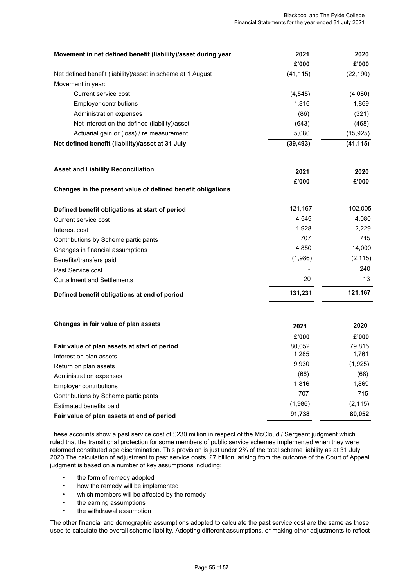| Movement in net defined benefit (liability)/asset during year | 2021      | 2020      |
|---------------------------------------------------------------|-----------|-----------|
|                                                               | £'000     | £'000     |
| Net defined benefit (liability)/asset in scheme at 1 August   | (41, 115) | (22, 190) |
| Movement in year:                                             |           |           |
| Current service cost                                          | (4, 545)  | (4,080)   |
| <b>Employer contributions</b>                                 | 1,816     | 1,869     |
| Administration expenses                                       | (86)      | (321)     |
| Net interest on the defined (liability)/asset                 | (643)     | (468)     |
| Actuarial gain or (loss) / re measurement                     | 5,080     | (15, 925) |
| Net defined benefit (liability)/asset at 31 July              | (39, 493) | (41, 115) |
|                                                               |           |           |
| <b>Asset and Liability Reconciliation</b>                     | 2021      | 2020      |
| Changes in the present value of defined benefit obligations   | £'000     | £'000     |
| Defined benefit obligations at start of period                | 121,167   | 102,005   |
| Current service cost                                          | 4,545     | 4,080     |
| Interest cost                                                 | 1,928     | 2,229     |
| Contributions by Scheme participants                          | 707       | 715       |
| Changes in financial assumptions                              | 4,850     | 14,000    |
| Benefits/transfers paid                                       | (1,986)   | (2, 115)  |
| Past Service cost                                             |           | 240       |
| <b>Curtailment and Settlements</b>                            | 20        | 13        |
| Defined benefit obligations at end of period                  | 131,231   | 121,167   |
|                                                               |           |           |
| Changes in fair value of plan assets                          | 2021      | 2020      |
|                                                               | £'000     | £'000     |
| Fair value of plan assets at start of period                  | 80,052    | 79,815    |
| Interest on plan assets                                       | 1,285     | 1,761     |
| Return on plan assets                                         | 9,930     | (1,925)   |
| Administration expenses                                       | (66)      | (68)      |
| <b>Employer contributions</b>                                 | 1,816     | 1,869     |
| Contributions by Scheme participants                          | 707       | 715       |
| Estimated benefits paid                                       | (1,986)   | (2, 115)  |
| Fair value of plan assets at end of period                    | 91,738    | 80,052    |

These accounts show a past service cost of £230 million in respect of the McCloud / Sergeant judgment which ruled that the transitional protection for some members of public service schemes implemented when they were reformed constituted age discrimination. This provision is just under 2% of the total scheme liability as at 31 July 2020.The calculation of adjustment to past service costs, £7 billion, arising from the outcome of the Court of Appeal judgment is based on a number of key assumptions including:

- the form of remedy adopted
- how the remedy will be implemented
- which members will be affected by the remedy
- the earning assumptions
- the withdrawal assumption

The other financial and demographic assumptions adopted to calculate the past service cost are the same as those used to calculate the overall scheme liability. Adopting different assumptions, or making other adjustments to reflect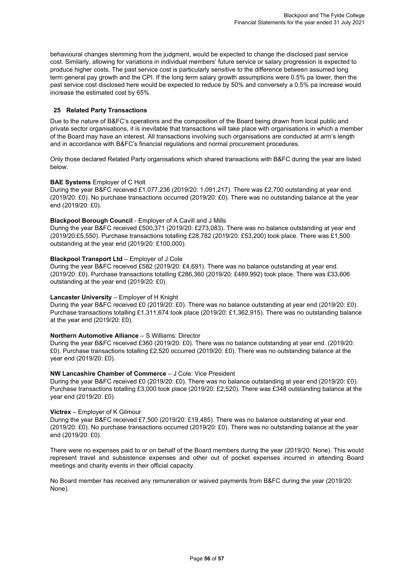behavioural changes stemming from the judgment, would be expected to change the disclosed past service cost. Similarly, allowing for variations in individual members' future service or salary progression is expected to produce higher costs. The past service cost is particularly sensitive to the difference between assumed long term general pay growth and the CPI. If the long term salary growth assumptions were 0.5% pa lower, then the past service cost disclosed here would be expected to reduce by 50% and conversely a 0.5% pa increase would increase the estimated cost by 65%.

#### **25 Related Party Transactions**

Due to the nature of B&FC's operations and the composition of the Board being drawn from local public and private sector organisations, it is inevitable that transactions will take place with organisations in which a member of the Board may have an interest. All transactions involving such organisations are conducted at arm's length and in accordance with B&FC's financial regulations and normal procurement procedures.

Only those declared Related Party organisations which shared transactions with B&FC during the year are listed below.

#### **BAE Systems** Employer of C Holt

During the year B&FC received £1,077,236 (2019/20: 1,091,217). There was £2,700 outstanding at year end. (2019/20: £0). No purchase transactions occurred (2019/20: £0). There was no outstanding balance at the year end (2019/20: £0).

#### **Blackpool Borough Council** - Employer of A Cavill and J Mills

During the year B&FC received £500,371 (2019/20: £273,083). There was no balance outstanding at year end (2019/20:£5,550). Purchase transactions totalling £28,782 (2019/20: £53,200) took place. There was £1,500 outstanding at the year end (2019/20: £100,000).

#### **Blackpool Transport Ltd** – Employer of J Cole

During the year B&FC received £582 (2019/20: £4,691). There was no balance outstanding at year end. (2019/20: £0). Purchase transactions totalling £286,360 (2019/20: £489,992) took place. There was £33,606 outstanding at the year end (2019/20: £0).

#### **Lancaster University** – Employer of H Knight

During the year B&FC received £0 (2019/20: £0). There was no balance outstanding at year end (2019/20: £0). Purchase transactions totalling £1,311,674 took place (2019/20: £1,362,915). There was no outstanding balance at the year end (2019/20: £0).

#### **Northern Automotive Alliance** – S Williams: Director

During the year B&FC received £360 (2019/20: £0). There was no balance outstanding at year end. (2019/20: £0). Purchase transactions totalling £2,520 occurred (2019/20: £0). There was no outstanding balance at the year end (2019/20: £0).

#### **NW Lancashire Chamber of Commerce** – J Cole: Vice President

During the year B&FC received £0 (2019/20: £0). There was no balance outstanding at year end (2019/20: £0). Purchase transactions totalling £3,000 took place (2019/20: £2,520). There was £348 outstanding balance at the year end (2019/20: £0).

#### **Victrex** – Employer of K Gilmour

During the year B&FC received £7,500 (2019/20: £19,485). There was no balance outstanding at year end. (2019/20: £0). No purchase transactions occurred (2019/20: £0). There was no outstanding balance at the year end (2019/20: £0).

There were no expenses paid to or on behalf of the Board members during the year (2019/20: None). This would represent travel and subsistence expenses and other out of pocket expenses incurred in attending Board meetings and charity events in their official capacity.

No Board member has received any remuneration or waived payments from B&FC during the year (2019/20: None).